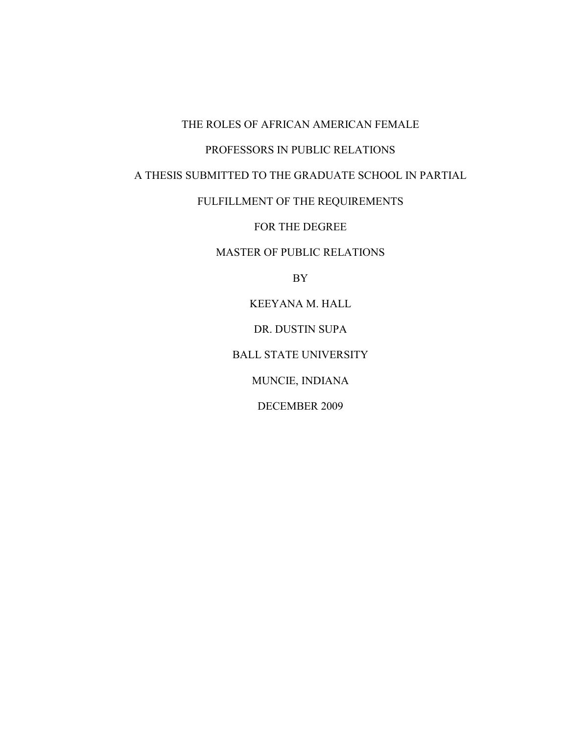# THE ROLES OF AFRICAN AMERICAN FEMALE

# PROFESSORS IN PUBLIC RELATIONS

A THESIS SUBMITTED TO THE GRADUATE SCHOOL IN PARTIAL

FULFILLMENT OF THE REQUIREMENTS

FOR THE DEGREE

MASTER OF PUBLIC RELATIONS

BY

KEEYANA M. HALL

DR. DUSTIN SUPA

BALL STATE UNIVERSITY

MUNCIE, INDIANA

DECEMBER 2009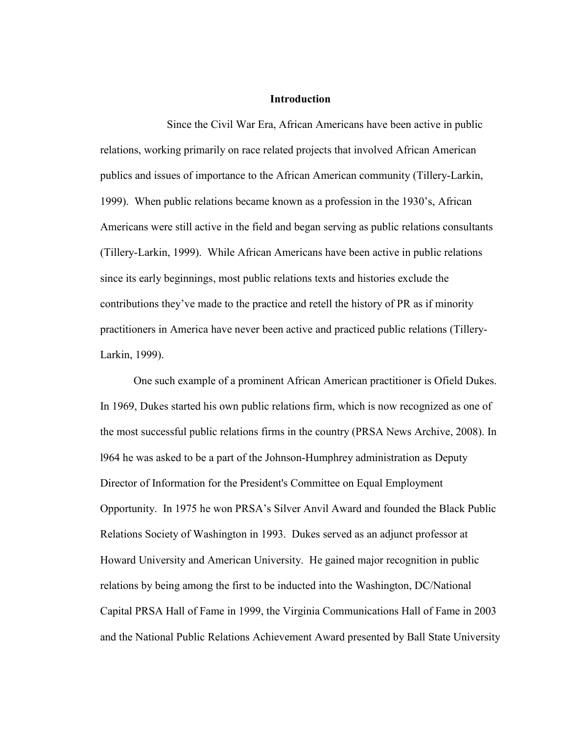### **Introduction**

Since the Civil War Era, African Americans have been active in public relations, working primarily on race related projects that involved African American publics and issues of importance to the African American community (Tillery-Larkin, 1999). When public relations became known as a profession in the 1930's, African Americans were still active in the field and began serving as public relations consultants (Tillery-Larkin, 1999). While African Americans have been active in public relations since its early beginnings, most public relations texts and histories exclude the contributions they've made to the practice and retell the history of PR as if minority practitioners in America have never been active and practiced public relations (Tillery-Larkin, 1999).

One such example of a prominent African American practitioner is Ofield Dukes. In 1969, Dukes started his own public relations firm, which is now recognized as one of the most successful public relations firms in the country (PRSA News Archive, 2008). In l964 he was asked to be a part of the Johnson-Humphrey administration as Deputy Director of Information for the President's Committee on Equal Employment Opportunity. In 1975 he won PRSA's Silver Anvil Award and founded the Black Public Relations Society of Washington in 1993. Dukes served as an adjunct professor at Howard University and American University. He gained major recognition in public relations by being among the first to be inducted into the Washington, DC/National Capital PRSA Hall of Fame in 1999, the Virginia Communications Hall of Fame in 2003 and the National Public Relations Achievement Award presented by Ball State University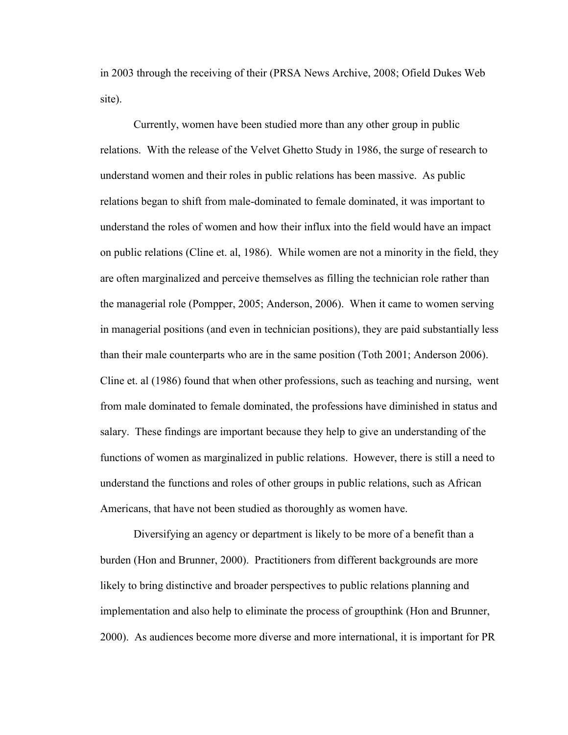in 2003 through the receiving of their (PRSA News Archive, 2008; Ofield Dukes Web site).

Currently, women have been studied more than any other group in public relations. With the release of the Velvet Ghetto Study in 1986, the surge of research to understand women and their roles in public relations has been massive. As public relations began to shift from male-dominated to female dominated, it was important to understand the roles of women and how their influx into the field would have an impact on public relations (Cline et. al, 1986). While women are not a minority in the field, they are often marginalized and perceive themselves as filling the technician role rather than the managerial role (Pompper, 2005; Anderson, 2006). When it came to women serving in managerial positions (and even in technician positions), they are paid substantially less than their male counterparts who are in the same position (Toth 2001; Anderson 2006). Cline et. al (1986) found that when other professions, such as teaching and nursing, went from male dominated to female dominated, the professions have diminished in status and salary. These findings are important because they help to give an understanding of the functions of women as marginalized in public relations. However, there is still a need to understand the functions and roles of other groups in public relations, such as African Americans, that have not been studied as thoroughly as women have.

Diversifying an agency or department is likely to be more of a benefit than a burden (Hon and Brunner, 2000). Practitioners from different backgrounds are more likely to bring distinctive and broader perspectives to public relations planning and implementation and also help to eliminate the process of groupthink (Hon and Brunner, 2000). As audiences become more diverse and more international, it is important for PR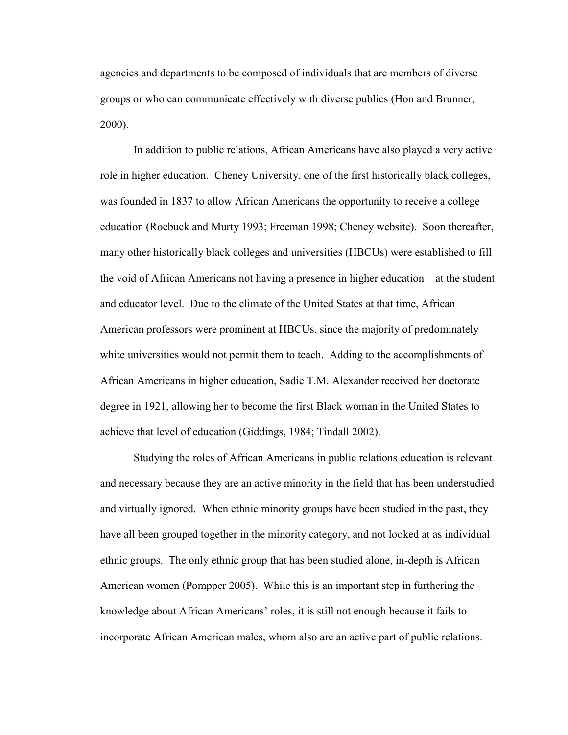agencies and departments to be composed of individuals that are members of diverse groups or who can communicate effectively with diverse publics (Hon and Brunner, 2000).

In addition to public relations, African Americans have also played a very active role in higher education. Cheney University, one of the first historically black colleges, was founded in 1837 to allow African Americans the opportunity to receive a college education (Roebuck and Murty 1993; Freeman 1998; Cheney website). Soon thereafter, many other historically black colleges and universities (HBCUs) were established to fill the void of African Americans not having a presence in higher education—at the student and educator level. Due to the climate of the United States at that time, African American professors were prominent at HBCUs, since the majority of predominately white universities would not permit them to teach. Adding to the accomplishments of African Americans in higher education, Sadie T.M. Alexander received her doctorate degree in 1921, allowing her to become the first Black woman in the United States to achieve that level of education (Giddings, 1984; Tindall 2002).

Studying the roles of African Americans in public relations education is relevant and necessary because they are an active minority in the field that has been understudied and virtually ignored. When ethnic minority groups have been studied in the past, they have all been grouped together in the minority category, and not looked at as individual ethnic groups. The only ethnic group that has been studied alone, in-depth is African American women (Pompper 2005). While this is an important step in furthering the knowledge about African Americans' roles, it is still not enough because it fails to incorporate African American males, whom also are an active part of public relations.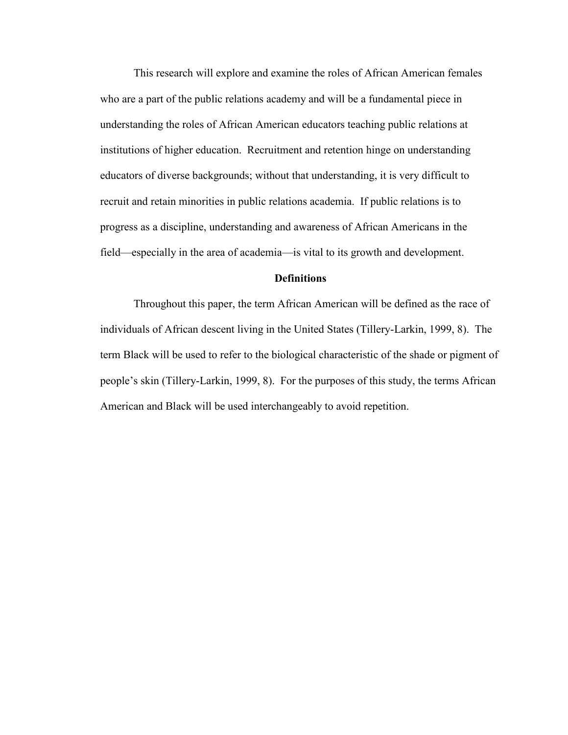This research will explore and examine the roles of African American females who are a part of the public relations academy and will be a fundamental piece in understanding the roles of African American educators teaching public relations at institutions of higher education. Recruitment and retention hinge on understanding educators of diverse backgrounds; without that understanding, it is very difficult to recruit and retain minorities in public relations academia. If public relations is to progress as a discipline, understanding and awareness of African Americans in the field—especially in the area of academia—is vital to its growth and development.

## **Definitions**

Throughout this paper, the term African American will be defined as the race of individuals of African descent living in the United States (Tillery-Larkin, 1999, 8). The term Black will be used to refer to the biological characteristic of the shade or pigment of people's skin (Tillery-Larkin, 1999, 8). For the purposes of this study, the terms African American and Black will be used interchangeably to avoid repetition.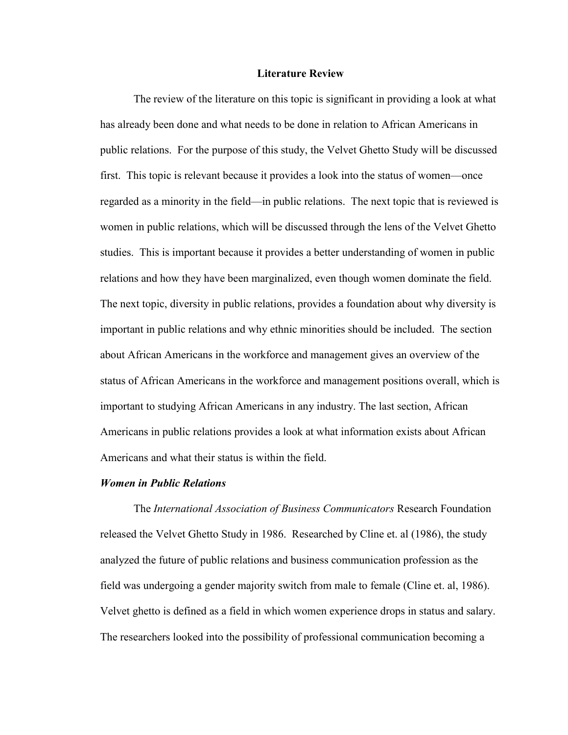### **Literature Review**

The review of the literature on this topic is significant in providing a look at what has already been done and what needs to be done in relation to African Americans in public relations. For the purpose of this study, the Velvet Ghetto Study will be discussed first. This topic is relevant because it provides a look into the status of women—once regarded as a minority in the field—in public relations. The next topic that is reviewed is women in public relations, which will be discussed through the lens of the Velvet Ghetto studies. This is important because it provides a better understanding of women in public relations and how they have been marginalized, even though women dominate the field. The next topic, diversity in public relations, provides a foundation about why diversity is important in public relations and why ethnic minorities should be included. The section about African Americans in the workforce and management gives an overview of the status of African Americans in the workforce and management positions overall, which is important to studying African Americans in any industry. The last section, African Americans in public relations provides a look at what information exists about African Americans and what their status is within the field.

### *Women in Public Relations*

The *International Association of Business Communicators* Research Foundation released the Velvet Ghetto Study in 1986. Researched by Cline et. al (1986), the study analyzed the future of public relations and business communication profession as the field was undergoing a gender majority switch from male to female (Cline et. al, 1986). Velvet ghetto is defined as a field in which women experience drops in status and salary. The researchers looked into the possibility of professional communication becoming a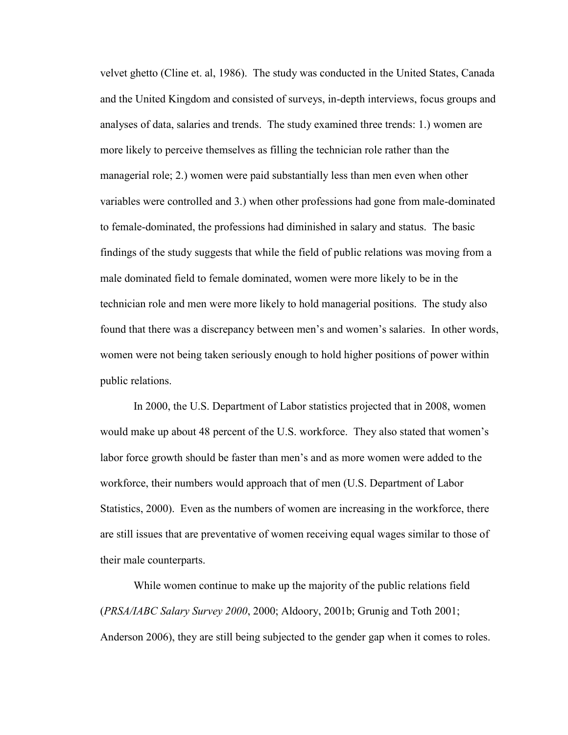velvet ghetto (Cline et. al, 1986). The study was conducted in the United States, Canada and the United Kingdom and consisted of surveys, in-depth interviews, focus groups and analyses of data, salaries and trends. The study examined three trends: 1.) women are more likely to perceive themselves as filling the technician role rather than the managerial role; 2.) women were paid substantially less than men even when other variables were controlled and 3.) when other professions had gone from male-dominated to female-dominated, the professions had diminished in salary and status. The basic findings of the study suggests that while the field of public relations was moving from a male dominated field to female dominated, women were more likely to be in the technician role and men were more likely to hold managerial positions. The study also found that there was a discrepancy between men's and women's salaries. In other words, women were not being taken seriously enough to hold higher positions of power within public relations.

In 2000, the U.S. Department of Labor statistics projected that in 2008, women would make up about 48 percent of the U.S. workforce. They also stated that women's labor force growth should be faster than men's and as more women were added to the workforce, their numbers would approach that of men (U.S. Department of Labor Statistics, 2000). Even as the numbers of women are increasing in the workforce, there are still issues that are preventative of women receiving equal wages similar to those of their male counterparts.

While women continue to make up the majority of the public relations field (*PRSA/IABC Salary Survey 2000*, 2000; Aldoory, 2001b; Grunig and Toth 2001; Anderson 2006), they are still being subjected to the gender gap when it comes to roles.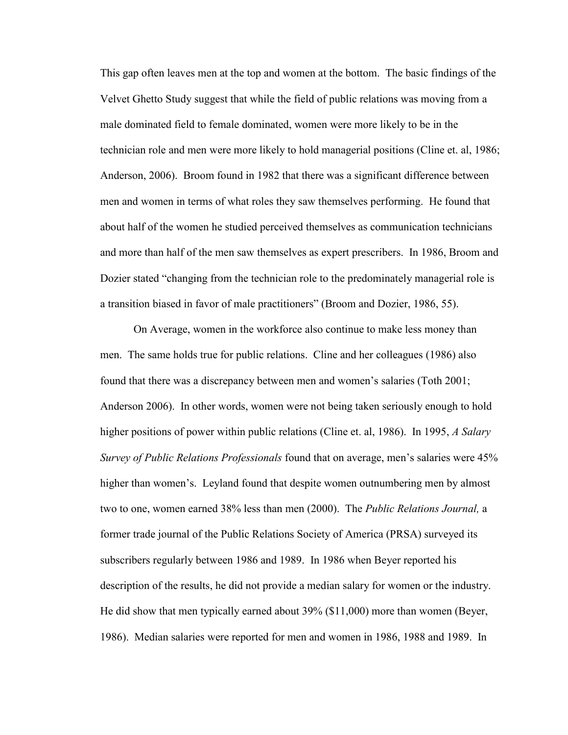This gap often leaves men at the top and women at the bottom. The basic findings of the Velvet Ghetto Study suggest that while the field of public relations was moving from a male dominated field to female dominated, women were more likely to be in the technician role and men were more likely to hold managerial positions (Cline et. al, 1986; Anderson, 2006). Broom found in 1982 that there was a significant difference between men and women in terms of what roles they saw themselves performing. He found that about half of the women he studied perceived themselves as communication technicians and more than half of the men saw themselves as expert prescribers. In 1986, Broom and Dozier stated "changing from the technician role to the predominately managerial role is a transition biased in favor of male practitioners" (Broom and Dozier, 1986, 55).

On Average, women in the workforce also continue to make less money than men. The same holds true for public relations. Cline and her colleagues (1986) also found that there was a discrepancy between men and women's salaries (Toth 2001; Anderson 2006). In other words, women were not being taken seriously enough to hold higher positions of power within public relations (Cline et. al, 1986). In 1995, *A Salary Survey of Public Relations Professionals* found that on average, men's salaries were 45% higher than women's. Leyland found that despite women outnumbering men by almost two to one, women earned 38% less than men (2000). The *Public Relations Journal,* a former trade journal of the Public Relations Society of America (PRSA) surveyed its subscribers regularly between 1986 and 1989. In 1986 when Beyer reported his description of the results, he did not provide a median salary for women or the industry. He did show that men typically earned about 39% (\$11,000) more than women (Beyer, 1986). Median salaries were reported for men and women in 1986, 1988 and 1989. In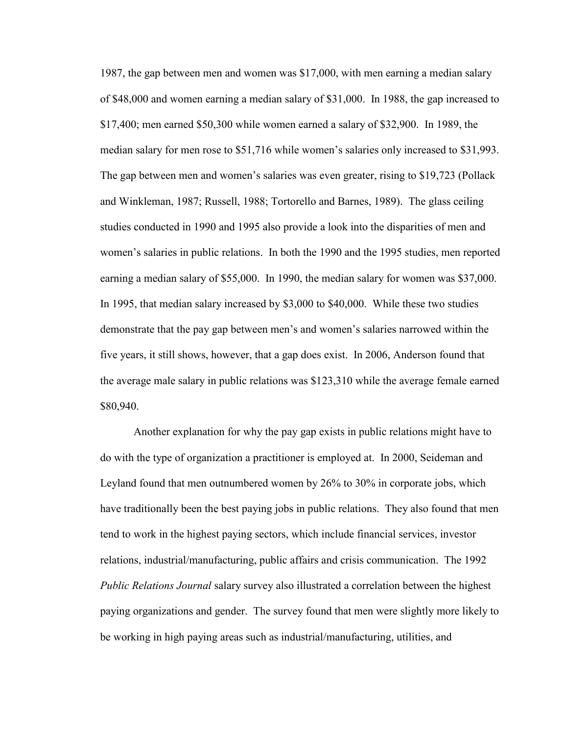1987, the gap between men and women was \$17,000, with men earning a median salary of \$48,000 and women earning a median salary of \$31,000. In 1988, the gap increased to \$17,400; men earned \$50,300 while women earned a salary of \$32,900. In 1989, the median salary for men rose to \$51,716 while women's salaries only increased to \$31,993. The gap between men and women's salaries was even greater, rising to \$19,723 (Pollack and Winkleman, 1987; Russell, 1988; Tortorello and Barnes, 1989). The glass ceiling studies conducted in 1990 and 1995 also provide a look into the disparities of men and women's salaries in public relations. In both the 1990 and the 1995 studies, men reported earning a median salary of \$55,000. In 1990, the median salary for women was \$37,000. In 1995, that median salary increased by \$3,000 to \$40,000. While these two studies demonstrate that the pay gap between men's and women's salaries narrowed within the five years, it still shows, however, that a gap does exist. In 2006, Anderson found that the average male salary in public relations was \$123,310 while the average female earned \$80,940.

Another explanation for why the pay gap exists in public relations might have to do with the type of organization a practitioner is employed at. In 2000, Seideman and Leyland found that men outnumbered women by 26% to 30% in corporate jobs, which have traditionally been the best paying jobs in public relations. They also found that men tend to work in the highest paying sectors, which include financial services, investor relations, industrial/manufacturing, public affairs and crisis communication. The 1992 *Public Relations Journal* salary survey also illustrated a correlation between the highest paying organizations and gender. The survey found that men were slightly more likely to be working in high paying areas such as industrial/manufacturing, utilities, and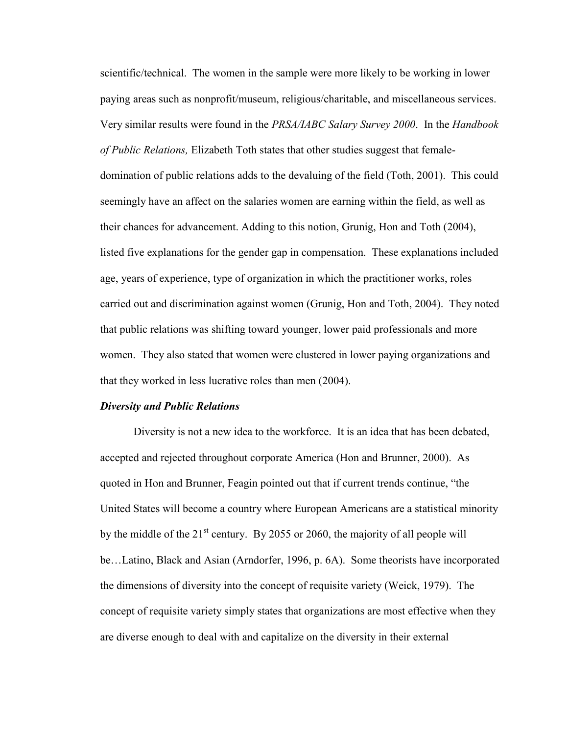scientific/technical. The women in the sample were more likely to be working in lower paying areas such as nonprofit/museum, religious/charitable, and miscellaneous services. Very similar results were found in the *PRSA/IABC Salary Survey 2000*. In the *Handbook of Public Relations,* Elizabeth Toth states that other studies suggest that femaledomination of public relations adds to the devaluing of the field (Toth, 2001). This could seemingly have an affect on the salaries women are earning within the field, as well as their chances for advancement. Adding to this notion, Grunig, Hon and Toth (2004), listed five explanations for the gender gap in compensation. These explanations included age, years of experience, type of organization in which the practitioner works, roles carried out and discrimination against women (Grunig, Hon and Toth, 2004). They noted that public relations was shifting toward younger, lower paid professionals and more women. They also stated that women were clustered in lower paying organizations and that they worked in less lucrative roles than men (2004).

### *Diversity and Public Relations*

Diversity is not a new idea to the workforce. It is an idea that has been debated, accepted and rejected throughout corporate America (Hon and Brunner, 2000). As quoted in Hon and Brunner, Feagin pointed out that if current trends continue, "the United States will become a country where European Americans are a statistical minority by the middle of the  $21<sup>st</sup>$  century. By 2055 or 2060, the majority of all people will be…Latino, Black and Asian (Arndorfer, 1996, p. 6A). Some theorists have incorporated the dimensions of diversity into the concept of requisite variety (Weick, 1979). The concept of requisite variety simply states that organizations are most effective when they are diverse enough to deal with and capitalize on the diversity in their external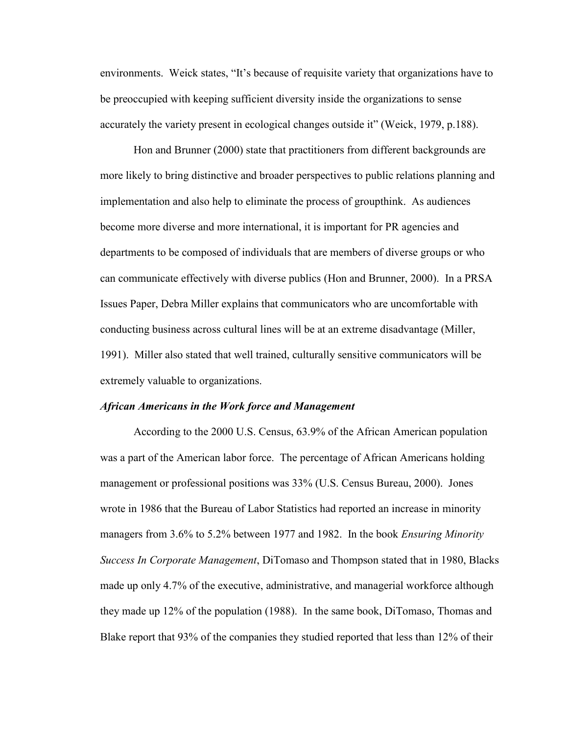environments. Weick states, "It's because of requisite variety that organizations have to be preoccupied with keeping sufficient diversity inside the organizations to sense accurately the variety present in ecological changes outside it" (Weick, 1979, p.188).

Hon and Brunner (2000) state that practitioners from different backgrounds are more likely to bring distinctive and broader perspectives to public relations planning and implementation and also help to eliminate the process of groupthink. As audiences become more diverse and more international, it is important for PR agencies and departments to be composed of individuals that are members of diverse groups or who can communicate effectively with diverse publics (Hon and Brunner, 2000). In a PRSA Issues Paper, Debra Miller explains that communicators who are uncomfortable with conducting business across cultural lines will be at an extreme disadvantage (Miller, 1991). Miller also stated that well trained, culturally sensitive communicators will be extremely valuable to organizations.

#### *African Americans in the Work force and Management*

According to the 2000 U.S. Census, 63.9% of the African American population was a part of the American labor force. The percentage of African Americans holding management or professional positions was 33% (U.S. Census Bureau, 2000). Jones wrote in 1986 that the Bureau of Labor Statistics had reported an increase in minority managers from 3.6% to 5.2% between 1977 and 1982. In the book *Ensuring Minority Success In Corporate Management*, DiTomaso and Thompson stated that in 1980, Blacks made up only 4.7% of the executive, administrative, and managerial workforce although they made up 12% of the population (1988). In the same book, DiTomaso, Thomas and Blake report that 93% of the companies they studied reported that less than 12% of their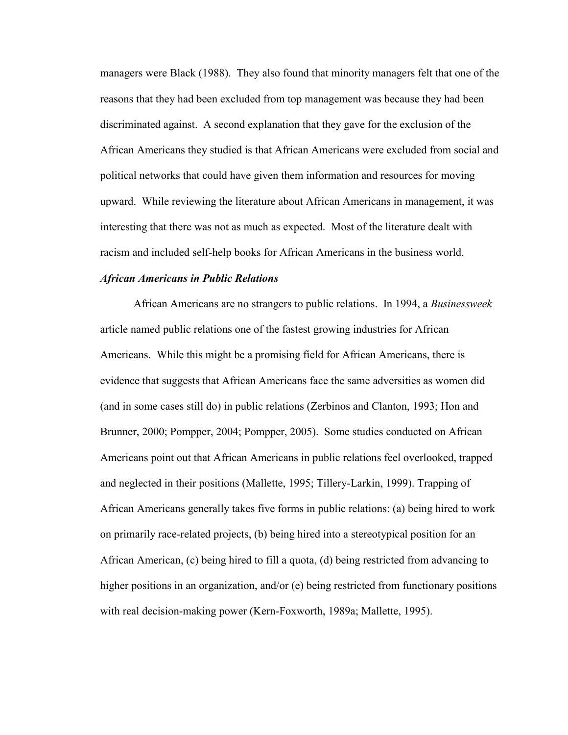managers were Black (1988). They also found that minority managers felt that one of the reasons that they had been excluded from top management was because they had been discriminated against. A second explanation that they gave for the exclusion of the African Americans they studied is that African Americans were excluded from social and political networks that could have given them information and resources for moving upward. While reviewing the literature about African Americans in management, it was interesting that there was not as much as expected. Most of the literature dealt with racism and included self-help books for African Americans in the business world.

### *African Americans in Public Relations*

African Americans are no strangers to public relations. In 1994, a *Businessweek* article named public relations one of the fastest growing industries for African Americans. While this might be a promising field for African Americans, there is evidence that suggests that African Americans face the same adversities as women did (and in some cases still do) in public relations (Zerbinos and Clanton, 1993; Hon and Brunner, 2000; Pompper, 2004; Pompper, 2005). Some studies conducted on African Americans point out that African Americans in public relations feel overlooked, trapped and neglected in their positions (Mallette, 1995; Tillery-Larkin, 1999). Trapping of African Americans generally takes five forms in public relations: (a) being hired to work on primarily race-related projects, (b) being hired into a stereotypical position for an African American, (c) being hired to fill a quota, (d) being restricted from advancing to higher positions in an organization, and/or (e) being restricted from functionary positions with real decision-making power (Kern-Foxworth, 1989a; Mallette, 1995).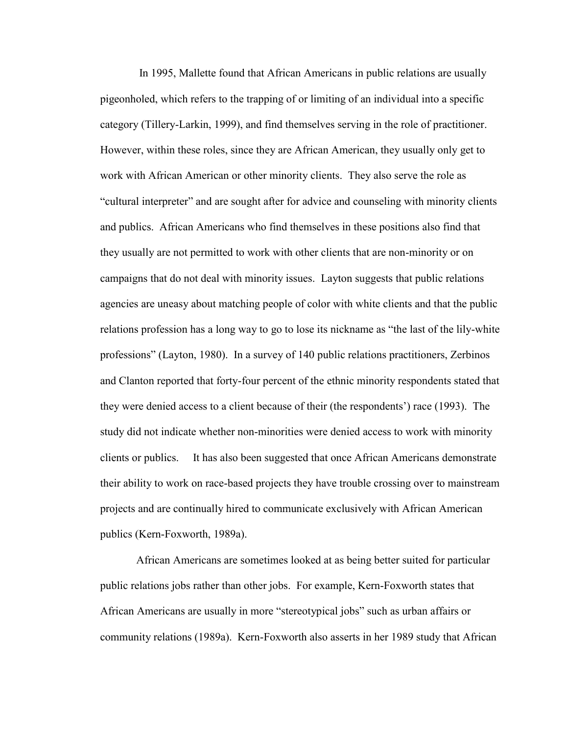In 1995, Mallette found that African Americans in public relations are usually pigeonholed, which refers to the trapping of or limiting of an individual into a specific category (Tillery-Larkin, 1999), and find themselves serving in the role of practitioner. However, within these roles, since they are African American, they usually only get to work with African American or other minority clients. They also serve the role as "cultural interpreter" and are sought after for advice and counseling with minority clients and publics. African Americans who find themselves in these positions also find that they usually are not permitted to work with other clients that are non-minority or on campaigns that do not deal with minority issues. Layton suggests that public relations agencies are uneasy about matching people of color with white clients and that the public relations profession has a long way to go to lose its nickname as "the last of the lily-white professions‖ (Layton, 1980). In a survey of 140 public relations practitioners, Zerbinos and Clanton reported that forty-four percent of the ethnic minority respondents stated that they were denied access to a client because of their (the respondents') race (1993). The study did not indicate whether non-minorities were denied access to work with minority clients or publics. It has also been suggested that once African Americans demonstrate their ability to work on race-based projects they have trouble crossing over to mainstream projects and are continually hired to communicate exclusively with African American publics (Kern-Foxworth, 1989a).

African Americans are sometimes looked at as being better suited for particular public relations jobs rather than other jobs. For example, Kern-Foxworth states that African Americans are usually in more "stereotypical jobs" such as urban affairs or community relations (1989a). Kern-Foxworth also asserts in her 1989 study that African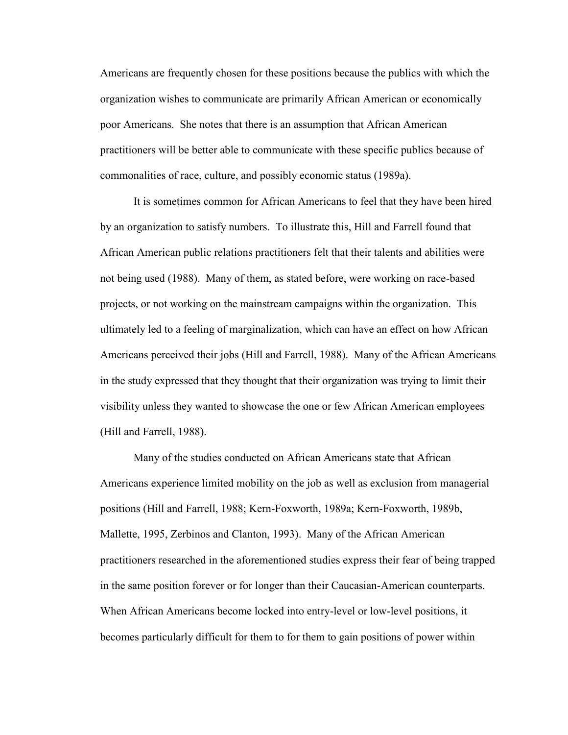Americans are frequently chosen for these positions because the publics with which the organization wishes to communicate are primarily African American or economically poor Americans. She notes that there is an assumption that African American practitioners will be better able to communicate with these specific publics because of commonalities of race, culture, and possibly economic status (1989a).

It is sometimes common for African Americans to feel that they have been hired by an organization to satisfy numbers. To illustrate this, Hill and Farrell found that African American public relations practitioners felt that their talents and abilities were not being used (1988). Many of them, as stated before, were working on race-based projects, or not working on the mainstream campaigns within the organization. This ultimately led to a feeling of marginalization, which can have an effect on how African Americans perceived their jobs (Hill and Farrell, 1988). Many of the African Americans in the study expressed that they thought that their organization was trying to limit their visibility unless they wanted to showcase the one or few African American employees (Hill and Farrell, 1988).

Many of the studies conducted on African Americans state that African Americans experience limited mobility on the job as well as exclusion from managerial positions (Hill and Farrell, 1988; Kern-Foxworth, 1989a; Kern-Foxworth, 1989b, Mallette, 1995, Zerbinos and Clanton, 1993). Many of the African American practitioners researched in the aforementioned studies express their fear of being trapped in the same position forever or for longer than their Caucasian-American counterparts. When African Americans become locked into entry-level or low-level positions, it becomes particularly difficult for them to for them to gain positions of power within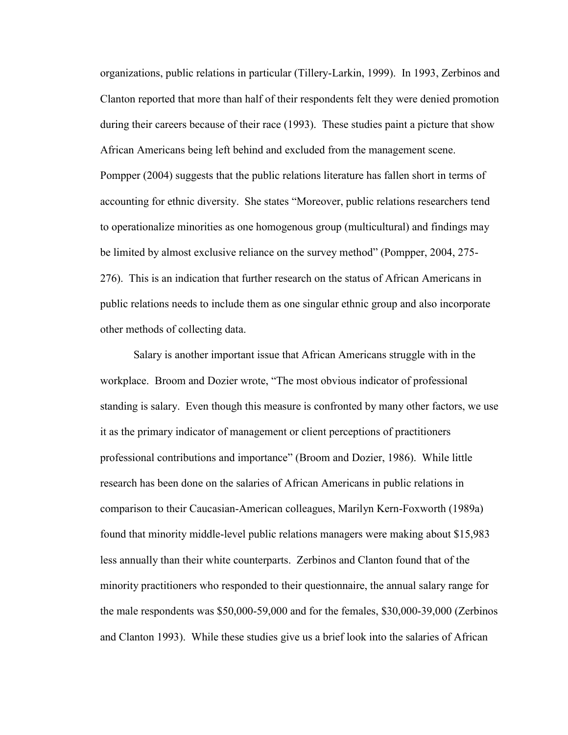organizations, public relations in particular (Tillery-Larkin, 1999). In 1993, Zerbinos and Clanton reported that more than half of their respondents felt they were denied promotion during their careers because of their race (1993). These studies paint a picture that show African Americans being left behind and excluded from the management scene. Pompper (2004) suggests that the public relations literature has fallen short in terms of accounting for ethnic diversity. She states "Moreover, public relations researchers tend to operationalize minorities as one homogenous group (multicultural) and findings may be limited by almost exclusive reliance on the survey method" (Pompper, 2004, 275-276). This is an indication that further research on the status of African Americans in public relations needs to include them as one singular ethnic group and also incorporate other methods of collecting data.

Salary is another important issue that African Americans struggle with in the workplace. Broom and Dozier wrote, "The most obvious indicator of professional standing is salary. Even though this measure is confronted by many other factors, we use it as the primary indicator of management or client perceptions of practitioners professional contributions and importance" (Broom and Dozier, 1986). While little research has been done on the salaries of African Americans in public relations in comparison to their Caucasian-American colleagues, Marilyn Kern-Foxworth (1989a) found that minority middle-level public relations managers were making about \$15,983 less annually than their white counterparts. Zerbinos and Clanton found that of the minority practitioners who responded to their questionnaire, the annual salary range for the male respondents was \$50,000-59,000 and for the females, \$30,000-39,000 (Zerbinos and Clanton 1993). While these studies give us a brief look into the salaries of African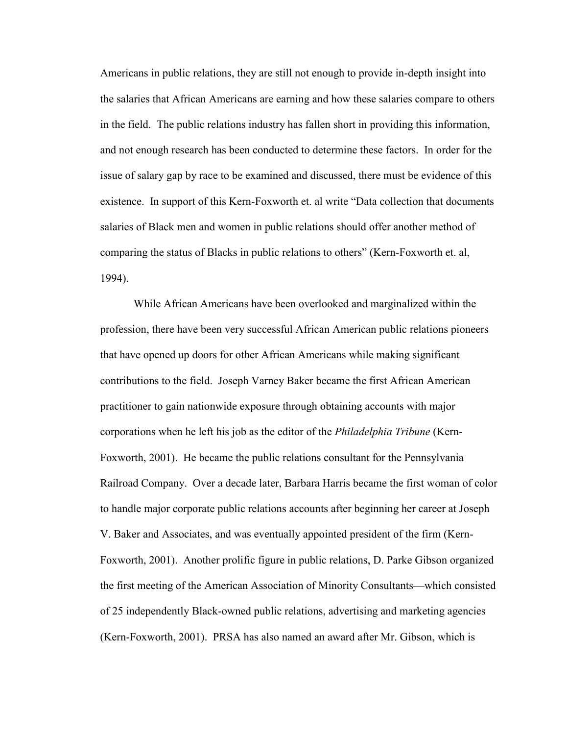Americans in public relations, they are still not enough to provide in-depth insight into the salaries that African Americans are earning and how these salaries compare to others in the field. The public relations industry has fallen short in providing this information, and not enough research has been conducted to determine these factors. In order for the issue of salary gap by race to be examined and discussed, there must be evidence of this existence. In support of this Kern-Foxworth et. al write "Data collection that documents" salaries of Black men and women in public relations should offer another method of comparing the status of Blacks in public relations to others" (Kern-Foxworth et. al, 1994).

While African Americans have been overlooked and marginalized within the profession, there have been very successful African American public relations pioneers that have opened up doors for other African Americans while making significant contributions to the field. Joseph Varney Baker became the first African American practitioner to gain nationwide exposure through obtaining accounts with major corporations when he left his job as the editor of the *Philadelphia Tribune* (Kern-Foxworth, 2001). He became the public relations consultant for the Pennsylvania Railroad Company. Over a decade later, Barbara Harris became the first woman of color to handle major corporate public relations accounts after beginning her career at Joseph V. Baker and Associates, and was eventually appointed president of the firm (Kern-Foxworth, 2001). Another prolific figure in public relations, D. Parke Gibson organized the first meeting of the American Association of Minority Consultants—which consisted of 25 independently Black-owned public relations, advertising and marketing agencies (Kern-Foxworth, 2001). PRSA has also named an award after Mr. Gibson, which is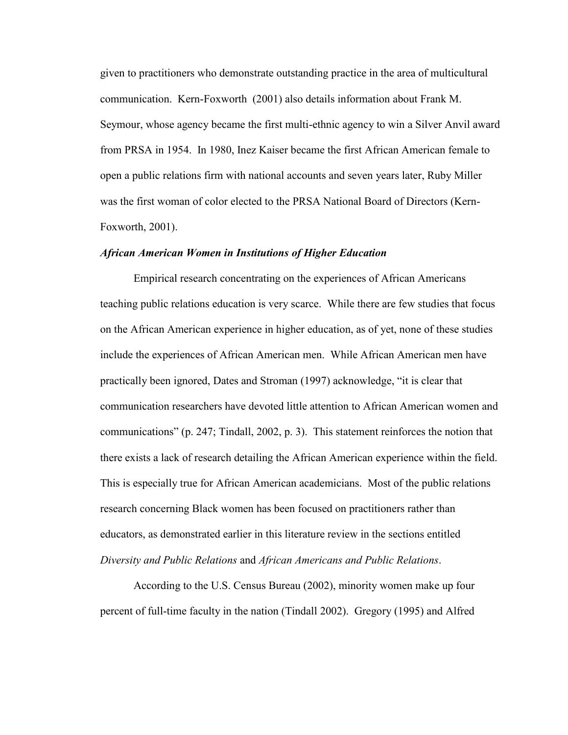given to practitioners who demonstrate outstanding practice in the area of multicultural communication. Kern-Foxworth (2001) also details information about Frank M. Seymour, whose agency became the first multi-ethnic agency to win a Silver Anvil award from PRSA in 1954. In 1980, Inez Kaiser became the first African American female to open a public relations firm with national accounts and seven years later, Ruby Miller was the first woman of color elected to the PRSA National Board of Directors (Kern-Foxworth, 2001).

### *African American Women in Institutions of Higher Education*

Empirical research concentrating on the experiences of African Americans teaching public relations education is very scarce. While there are few studies that focus on the African American experience in higher education, as of yet, none of these studies include the experiences of African American men. While African American men have practically been ignored, Dates and Stroman (1997) acknowledge, "it is clear that communication researchers have devoted little attention to African American women and communications" (p. 247; Tindall, 2002, p. 3). This statement reinforces the notion that there exists a lack of research detailing the African American experience within the field. This is especially true for African American academicians. Most of the public relations research concerning Black women has been focused on practitioners rather than educators, as demonstrated earlier in this literature review in the sections entitled *Diversity and Public Relations* and *African Americans and Public Relations*.

According to the U.S. Census Bureau (2002), minority women make up four percent of full-time faculty in the nation (Tindall 2002). Gregory (1995) and Alfred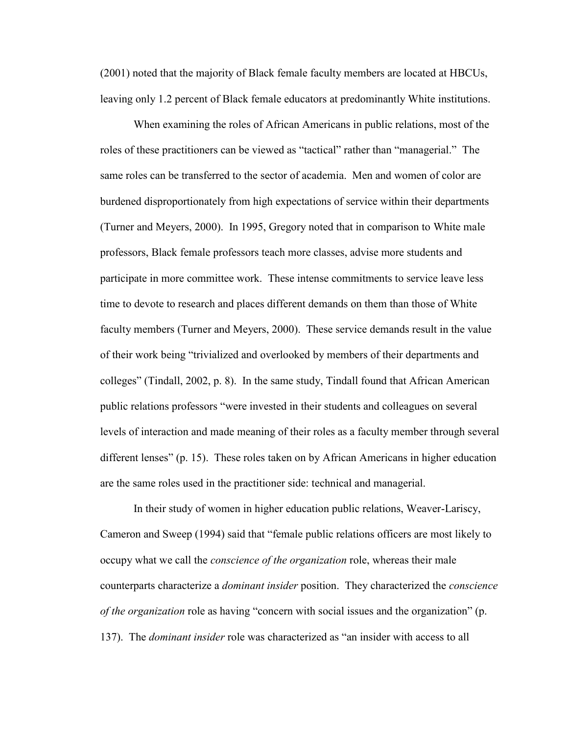(2001) noted that the majority of Black female faculty members are located at HBCUs, leaving only 1.2 percent of Black female educators at predominantly White institutions.

When examining the roles of African Americans in public relations, most of the roles of these practitioners can be viewed as "tactical" rather than "managerial." The same roles can be transferred to the sector of academia. Men and women of color are burdened disproportionately from high expectations of service within their departments (Turner and Meyers, 2000). In 1995, Gregory noted that in comparison to White male professors, Black female professors teach more classes, advise more students and participate in more committee work. These intense commitments to service leave less time to devote to research and places different demands on them than those of White faculty members (Turner and Meyers, 2000). These service demands result in the value of their work being "trivialized and overlooked by members of their departments and colleges" (Tindall, 2002, p. 8). In the same study, Tindall found that African American public relations professors "were invested in their students and colleagues on several levels of interaction and made meaning of their roles as a faculty member through several different lenses" (p. 15). These roles taken on by African Americans in higher education are the same roles used in the practitioner side: technical and managerial.

In their study of women in higher education public relations, Weaver-Lariscy, Cameron and Sweep (1994) said that "female public relations officers are most likely to occupy what we call the *conscience of the organization* role, whereas their male counterparts characterize a *dominant insider* position. They characterized the *conscience of the organization* role as having "concern with social issues and the organization" (p. 137). The *dominant insider* role was characterized as "an insider with access to all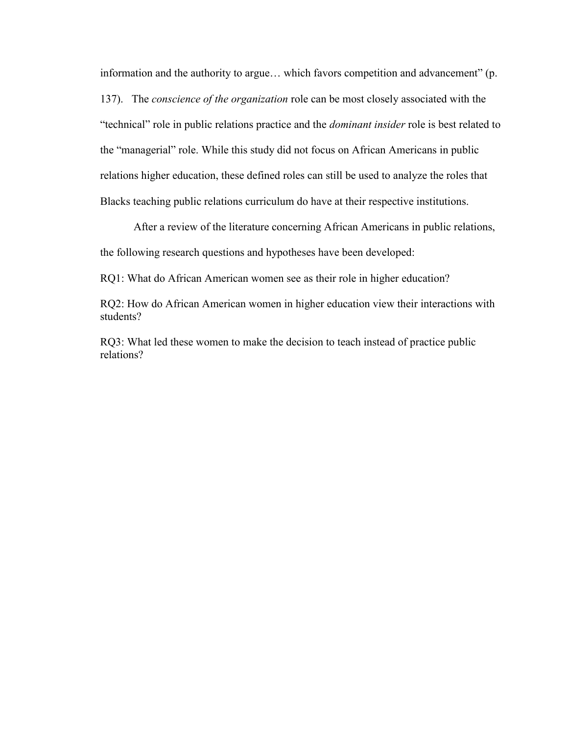information and the authority to argue... which favors competition and advancement" (p. 137). The *conscience of the organization* role can be most closely associated with the ―technical‖ role in public relations practice and the *dominant insider* role is best related to the "managerial" role. While this study did not focus on African Americans in public relations higher education, these defined roles can still be used to analyze the roles that Blacks teaching public relations curriculum do have at their respective institutions.

After a review of the literature concerning African Americans in public relations, the following research questions and hypotheses have been developed:

RQ1: What do African American women see as their role in higher education?

RQ2: How do African American women in higher education view their interactions with students?

RQ3: What led these women to make the decision to teach instead of practice public relations?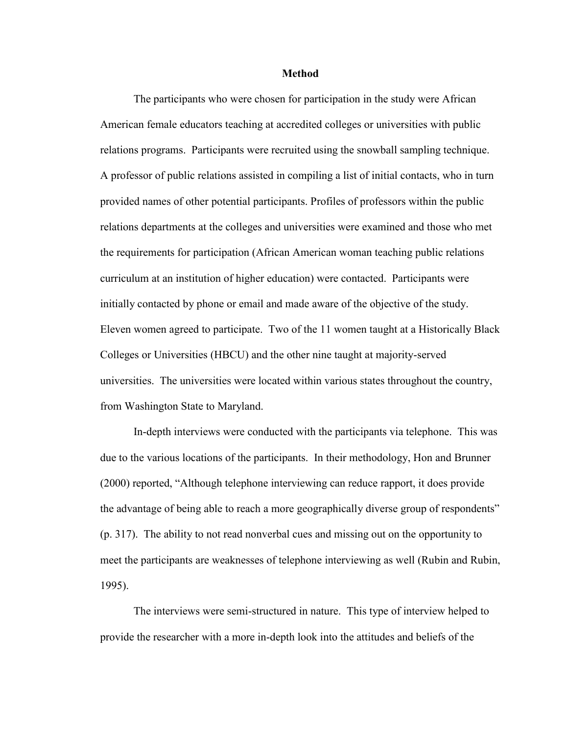#### **Method**

The participants who were chosen for participation in the study were African American female educators teaching at accredited colleges or universities with public relations programs. Participants were recruited using the snowball sampling technique. A professor of public relations assisted in compiling a list of initial contacts, who in turn provided names of other potential participants. Profiles of professors within the public relations departments at the colleges and universities were examined and those who met the requirements for participation (African American woman teaching public relations curriculum at an institution of higher education) were contacted. Participants were initially contacted by phone or email and made aware of the objective of the study. Eleven women agreed to participate. Two of the 11 women taught at a Historically Black Colleges or Universities (HBCU) and the other nine taught at majority-served universities. The universities were located within various states throughout the country, from Washington State to Maryland.

In-depth interviews were conducted with the participants via telephone. This was due to the various locations of the participants. In their methodology, Hon and Brunner (2000) reported, "Although telephone interviewing can reduce rapport, it does provide the advantage of being able to reach a more geographically diverse group of respondents" (p. 317). The ability to not read nonverbal cues and missing out on the opportunity to meet the participants are weaknesses of telephone interviewing as well (Rubin and Rubin, 1995).

The interviews were semi-structured in nature. This type of interview helped to provide the researcher with a more in-depth look into the attitudes and beliefs of the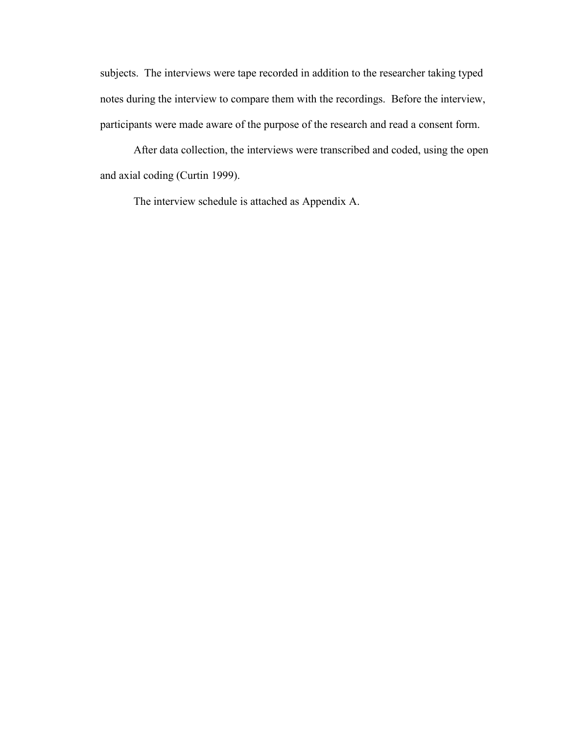subjects. The interviews were tape recorded in addition to the researcher taking typed notes during the interview to compare them with the recordings. Before the interview, participants were made aware of the purpose of the research and read a consent form.

After data collection, the interviews were transcribed and coded, using the open and axial coding (Curtin 1999).

The interview schedule is attached as Appendix A.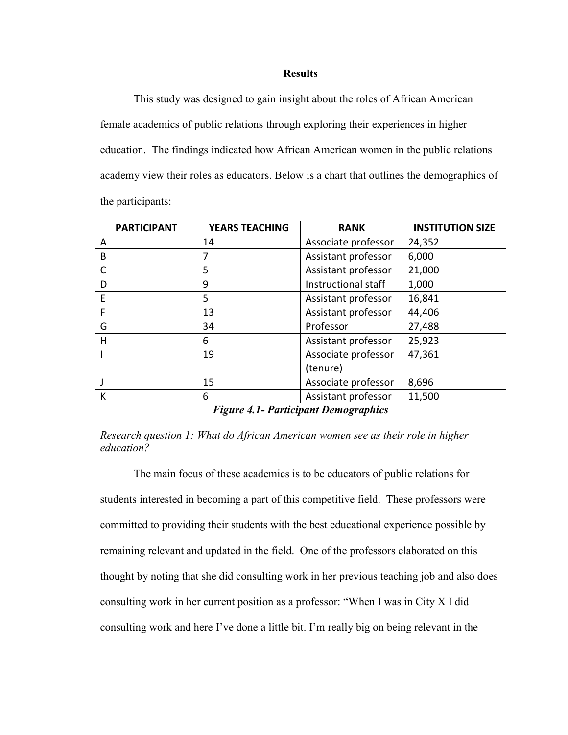## **Results**

This study was designed to gain insight about the roles of African American female academics of public relations through exploring their experiences in higher education. The findings indicated how African American women in the public relations academy view their roles as educators. Below is a chart that outlines the demographics of the participants:

| <b>PARTICIPANT</b> | <b>YEARS TEACHING</b> | <b>RANK</b>         | <b>INSTITUTION SIZE</b> |
|--------------------|-----------------------|---------------------|-------------------------|
| A                  | 14                    | Associate professor | 24,352                  |
| B                  | 7                     | Assistant professor | 6,000                   |
|                    | 5                     | Assistant professor | 21,000                  |
| D                  | 9                     | Instructional staff | 1,000                   |
| E                  | 5                     | Assistant professor | 16,841                  |
| F                  | 13                    | Assistant professor | 44,406                  |
| G                  | 34                    | Professor           | 27,488                  |
| н                  | 6                     | Assistant professor | 25,923                  |
|                    | 19                    | Associate professor | 47,361                  |
|                    |                       | (tenure)            |                         |
|                    | 15                    | Associate professor | 8,696                   |
| К                  | 6                     | Assistant professor | 11,500                  |

*Figure 4.1- Participant Demographics*

*Research question 1: What do African American women see as their role in higher education?* 

The main focus of these academics is to be educators of public relations for students interested in becoming a part of this competitive field. These professors were committed to providing their students with the best educational experience possible by remaining relevant and updated in the field. One of the professors elaborated on this thought by noting that she did consulting work in her previous teaching job and also does consulting work in her current position as a professor: "When I was in City X I did consulting work and here I've done a little bit. I'm really big on being relevant in the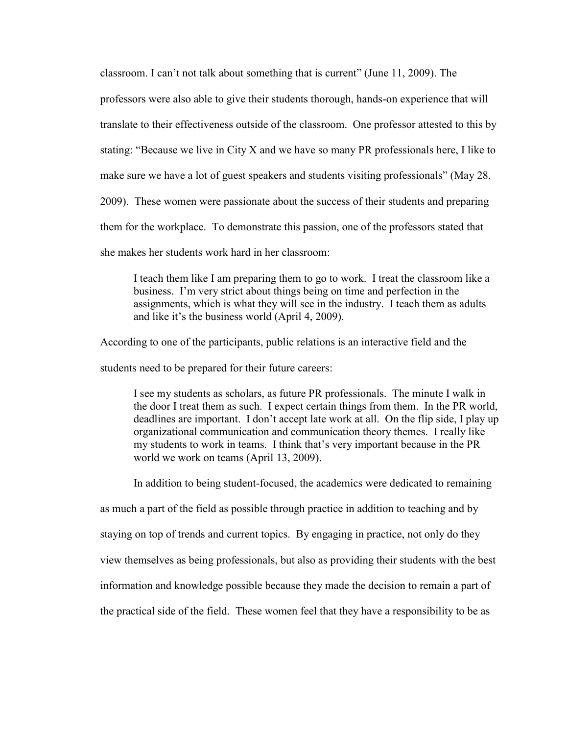classroom. I can't not talk about something that is current" (June  $11, 2009$ ). The

professors were also able to give their students thorough, hands-on experience that will

translate to their effectiveness outside of the classroom. One professor attested to this by

stating: "Because we live in City X and we have so many PR professionals here, I like to

make sure we have a lot of guest speakers and students visiting professionals" (May 28,

2009). These women were passionate about the success of their students and preparing

them for the workplace. To demonstrate this passion, one of the professors stated that

she makes her students work hard in her classroom:

I teach them like I am preparing them to go to work. I treat the classroom like a business. I'm very strict about things being on time and perfection in the assignments, which is what they will see in the industry. I teach them as adults and like it's the business world (April 4, 2009).

According to one of the participants, public relations is an interactive field and the

students need to be prepared for their future careers:

I see my students as scholars, as future PR professionals. The minute I walk in the door I treat them as such. I expect certain things from them. In the PR world, deadlines are important. I don't accept late work at all. On the flip side, I play up organizational communication and communication theory themes. I really like my students to work in teams. I think that's very important because in the PR world we work on teams (April 13, 2009).

In addition to being student-focused, the academics were dedicated to remaining

as much a part of the field as possible through practice in addition to teaching and by

staying on top of trends and current topics. By engaging in practice, not only do they

view themselves as being professionals, but also as providing their students with the best

information and knowledge possible because they made the decision to remain a part of

the practical side of the field. These women feel that they have a responsibility to be as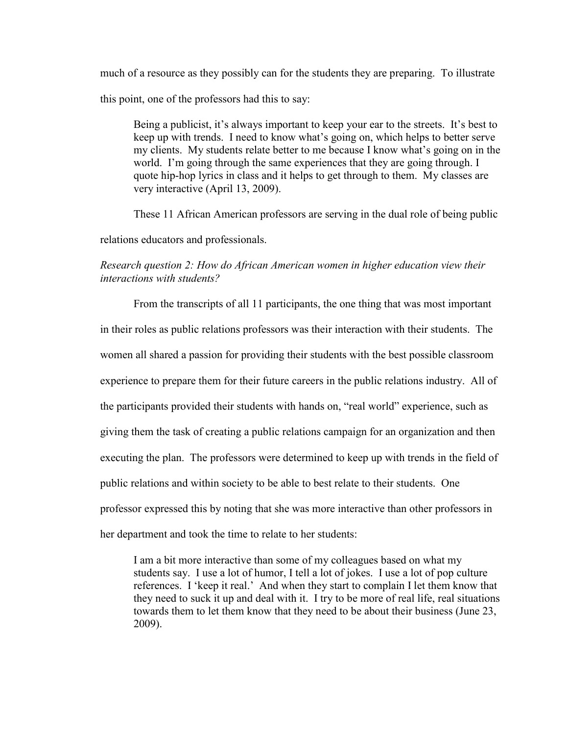much of a resource as they possibly can for the students they are preparing. To illustrate this point, one of the professors had this to say:

Being a publicist, it's always important to keep your ear to the streets. It's best to keep up with trends. I need to know what's going on, which helps to better serve my clients. My students relate better to me because I know what's going on in the world. I'm going through the same experiences that they are going through. I quote hip-hop lyrics in class and it helps to get through to them. My classes are very interactive (April 13, 2009).

These 11 African American professors are serving in the dual role of being public

relations educators and professionals.

# *Research question 2: How do African American women in higher education view their interactions with students?*

From the transcripts of all 11 participants, the one thing that was most important in their roles as public relations professors was their interaction with their students. The women all shared a passion for providing their students with the best possible classroom experience to prepare them for their future careers in the public relations industry. All of the participants provided their students with hands on, "real world" experience, such as giving them the task of creating a public relations campaign for an organization and then executing the plan. The professors were determined to keep up with trends in the field of public relations and within society to be able to best relate to their students. One professor expressed this by noting that she was more interactive than other professors in her department and took the time to relate to her students:

I am a bit more interactive than some of my colleagues based on what my students say. I use a lot of humor, I tell a lot of jokes. I use a lot of pop culture references. I 'keep it real.' And when they start to complain I let them know that they need to suck it up and deal with it. I try to be more of real life, real situations towards them to let them know that they need to be about their business (June 23, 2009).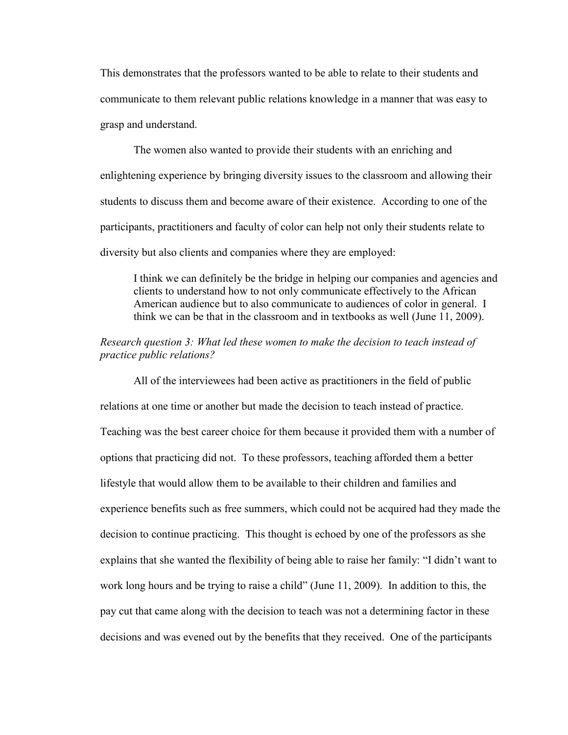This demonstrates that the professors wanted to be able to relate to their students and communicate to them relevant public relations knowledge in a manner that was easy to grasp and understand.

The women also wanted to provide their students with an enriching and enlightening experience by bringing diversity issues to the classroom and allowing their students to discuss them and become aware of their existence. According to one of the participants, practitioners and faculty of color can help not only their students relate to diversity but also clients and companies where they are employed:

I think we can definitely be the bridge in helping our companies and agencies and clients to understand how to not only communicate effectively to the African American audience but to also communicate to audiences of color in general. I think we can be that in the classroom and in textbooks as well (June 11, 2009).

## *Research question 3: What led these women to make the decision to teach instead of practice public relations?*

All of the interviewees had been active as practitioners in the field of public relations at one time or another but made the decision to teach instead of practice. Teaching was the best career choice for them because it provided them with a number of options that practicing did not. To these professors, teaching afforded them a better lifestyle that would allow them to be available to their children and families and experience benefits such as free summers, which could not be acquired had they made the decision to continue practicing. This thought is echoed by one of the professors as she explains that she wanted the flexibility of being able to raise her family: "I didn't want to work long hours and be trying to raise a child" (June 11, 2009). In addition to this, the pay cut that came along with the decision to teach was not a determining factor in these decisions and was evened out by the benefits that they received. One of the participants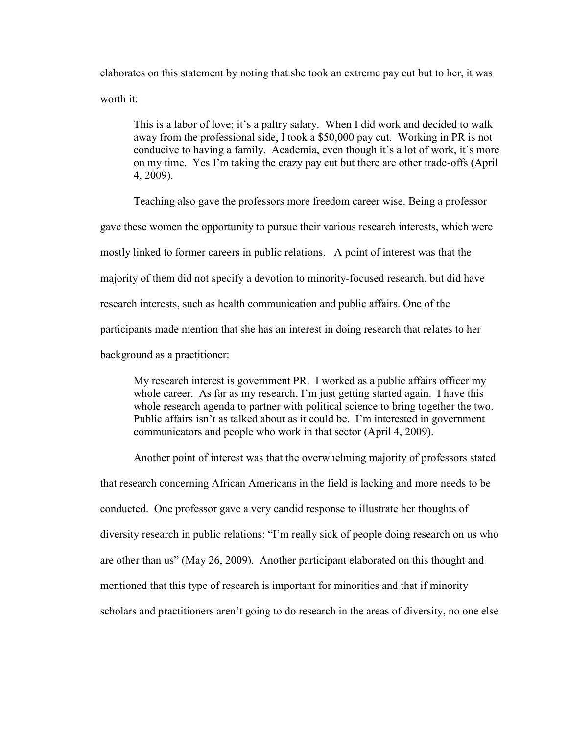elaborates on this statement by noting that she took an extreme pay cut but to her, it was worth it:

This is a labor of love; it's a paltry salary. When I did work and decided to walk away from the professional side, I took a \$50,000 pay cut. Working in PR is not conducive to having a family. Academia, even though it's a lot of work, it's more on my time. Yes I'm taking the crazy pay cut but there are other trade-offs (April 4, 2009).

Teaching also gave the professors more freedom career wise. Being a professor gave these women the opportunity to pursue their various research interests, which were mostly linked to former careers in public relations. A point of interest was that the majority of them did not specify a devotion to minority-focused research, but did have research interests, such as health communication and public affairs. One of the participants made mention that she has an interest in doing research that relates to her background as a practitioner:

My research interest is government PR. I worked as a public affairs officer my whole career. As far as my research, I'm just getting started again. I have this whole research agenda to partner with political science to bring together the two. Public affairs isn't as talked about as it could be. I'm interested in government communicators and people who work in that sector (April 4, 2009).

Another point of interest was that the overwhelming majority of professors stated that research concerning African Americans in the field is lacking and more needs to be conducted. One professor gave a very candid response to illustrate her thoughts of diversity research in public relations: "I'm really sick of people doing research on us who are other than us" (May 26, 2009). Another participant elaborated on this thought and mentioned that this type of research is important for minorities and that if minority scholars and practitioners aren't going to do research in the areas of diversity, no one else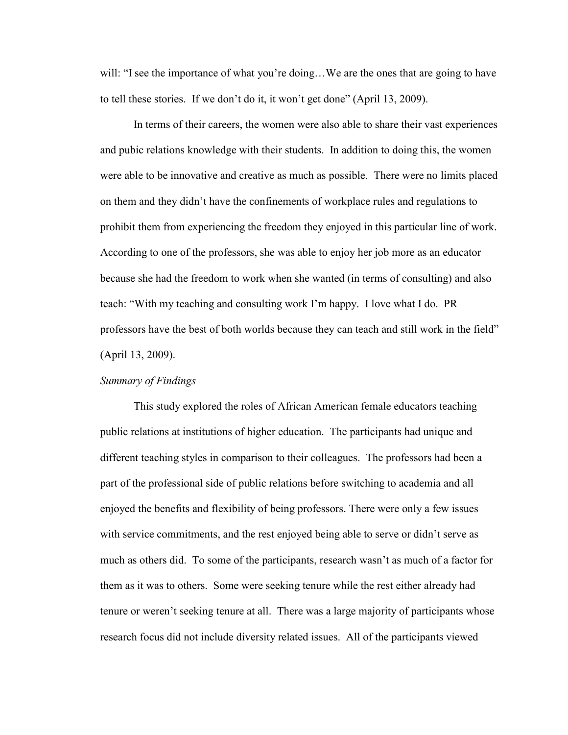will: "I see the importance of what you're doing...We are the ones that are going to have to tell these stories. If we don't do it, it won't get done" (April 13, 2009).

In terms of their careers, the women were also able to share their vast experiences and pubic relations knowledge with their students. In addition to doing this, the women were able to be innovative and creative as much as possible. There were no limits placed on them and they didn't have the confinements of workplace rules and regulations to prohibit them from experiencing the freedom they enjoyed in this particular line of work. According to one of the professors, she was able to enjoy her job more as an educator because she had the freedom to work when she wanted (in terms of consulting) and also teach: ―With my teaching and consulting work I'm happy. I love what I do. PR professors have the best of both worlds because they can teach and still work in the field" (April 13, 2009).

## *Summary of Findings*

This study explored the roles of African American female educators teaching public relations at institutions of higher education. The participants had unique and different teaching styles in comparison to their colleagues. The professors had been a part of the professional side of public relations before switching to academia and all enjoyed the benefits and flexibility of being professors. There were only a few issues with service commitments, and the rest enjoyed being able to serve or didn't serve as much as others did. To some of the participants, research wasn't as much of a factor for them as it was to others. Some were seeking tenure while the rest either already had tenure or weren't seeking tenure at all. There was a large majority of participants whose research focus did not include diversity related issues. All of the participants viewed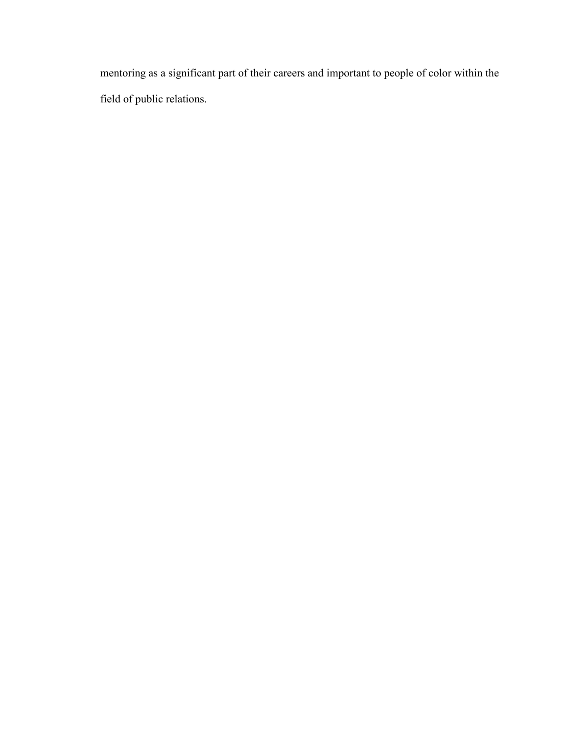mentoring as a significant part of their careers and important to people of color within the field of public relations.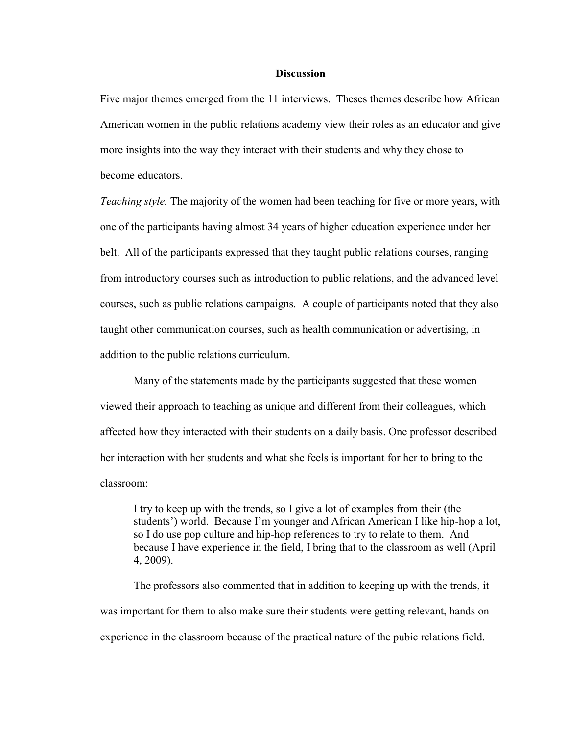## **Discussion**

Five major themes emerged from the 11 interviews. Theses themes describe how African American women in the public relations academy view their roles as an educator and give more insights into the way they interact with their students and why they chose to become educators.

*Teaching style.* The majority of the women had been teaching for five or more years, with one of the participants having almost 34 years of higher education experience under her belt. All of the participants expressed that they taught public relations courses, ranging from introductory courses such as introduction to public relations, and the advanced level courses, such as public relations campaigns. A couple of participants noted that they also taught other communication courses, such as health communication or advertising, in addition to the public relations curriculum.

Many of the statements made by the participants suggested that these women viewed their approach to teaching as unique and different from their colleagues, which affected how they interacted with their students on a daily basis. One professor described her interaction with her students and what she feels is important for her to bring to the classroom:

I try to keep up with the trends, so I give a lot of examples from their (the students') world. Because I'm younger and African American I like hip-hop a lot, so I do use pop culture and hip-hop references to try to relate to them. And because I have experience in the field, I bring that to the classroom as well (April 4, 2009).

The professors also commented that in addition to keeping up with the trends, it was important for them to also make sure their students were getting relevant, hands on experience in the classroom because of the practical nature of the pubic relations field.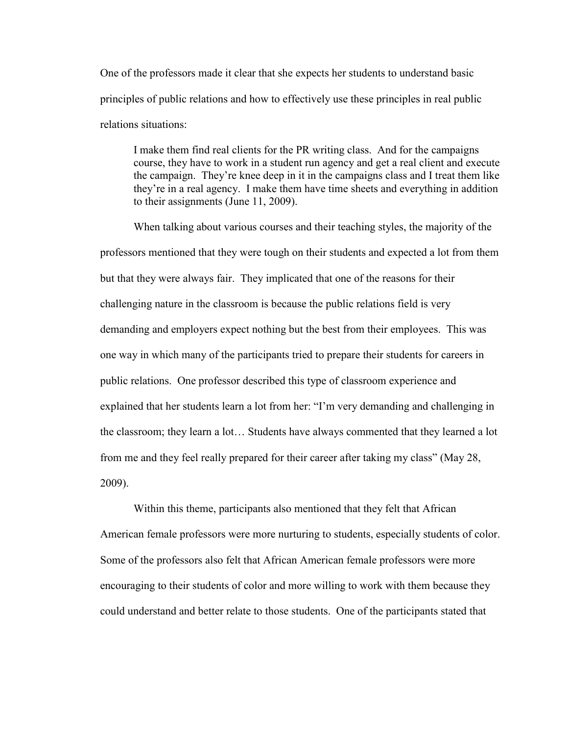One of the professors made it clear that she expects her students to understand basic principles of public relations and how to effectively use these principles in real public relations situations:

I make them find real clients for the PR writing class. And for the campaigns course, they have to work in a student run agency and get a real client and execute the campaign. They're knee deep in it in the campaigns class and I treat them like they're in a real agency. I make them have time sheets and everything in addition to their assignments (June 11, 2009).

When talking about various courses and their teaching styles, the majority of the professors mentioned that they were tough on their students and expected a lot from them but that they were always fair. They implicated that one of the reasons for their challenging nature in the classroom is because the public relations field is very demanding and employers expect nothing but the best from their employees. This was one way in which many of the participants tried to prepare their students for careers in public relations. One professor described this type of classroom experience and explained that her students learn a lot from her: "I'm very demanding and challenging in the classroom; they learn a lot… Students have always commented that they learned a lot from me and they feel really prepared for their career after taking my class" (May 28, 2009).

Within this theme, participants also mentioned that they felt that African American female professors were more nurturing to students, especially students of color. Some of the professors also felt that African American female professors were more encouraging to their students of color and more willing to work with them because they could understand and better relate to those students. One of the participants stated that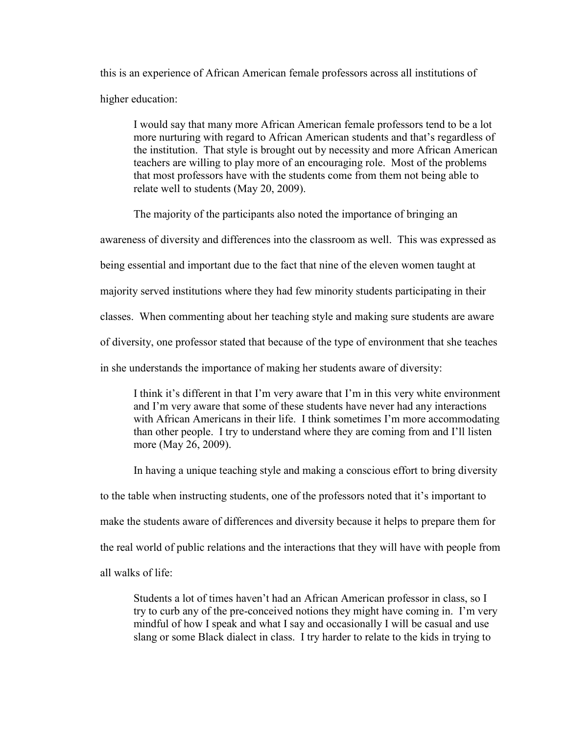this is an experience of African American female professors across all institutions of higher education:

I would say that many more African American female professors tend to be a lot more nurturing with regard to African American students and that's regardless of the institution. That style is brought out by necessity and more African American teachers are willing to play more of an encouraging role. Most of the problems that most professors have with the students come from them not being able to relate well to students (May 20, 2009).

The majority of the participants also noted the importance of bringing an

awareness of diversity and differences into the classroom as well. This was expressed as

being essential and important due to the fact that nine of the eleven women taught at

majority served institutions where they had few minority students participating in their

classes. When commenting about her teaching style and making sure students are aware

of diversity, one professor stated that because of the type of environment that she teaches

in she understands the importance of making her students aware of diversity:

I think it's different in that I'm very aware that I'm in this very white environment and I'm very aware that some of these students have never had any interactions with African Americans in their life. I think sometimes I'm more accommodating than other people. I try to understand where they are coming from and I'll listen more (May 26, 2009).

In having a unique teaching style and making a conscious effort to bring diversity

to the table when instructing students, one of the professors noted that it's important to

make the students aware of differences and diversity because it helps to prepare them for

the real world of public relations and the interactions that they will have with people from

all walks of life:

Students a lot of times haven't had an African American professor in class, so I try to curb any of the pre-conceived notions they might have coming in. I'm very mindful of how I speak and what I say and occasionally I will be casual and use slang or some Black dialect in class. I try harder to relate to the kids in trying to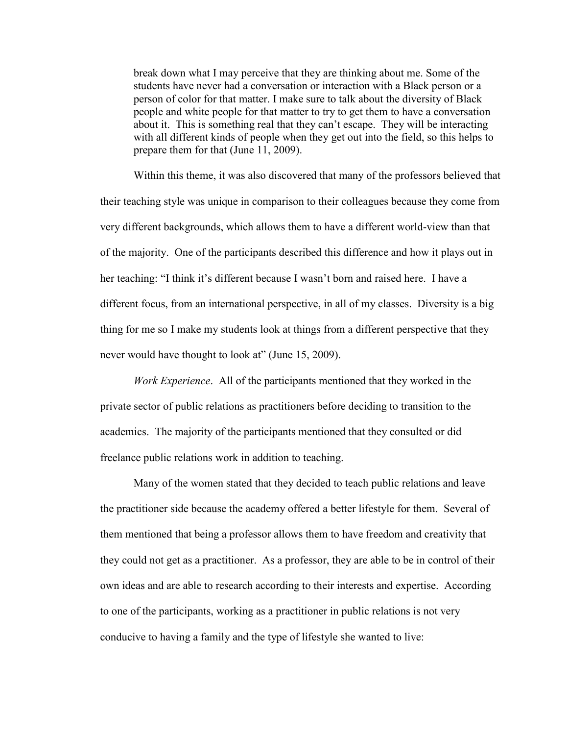break down what I may perceive that they are thinking about me. Some of the students have never had a conversation or interaction with a Black person or a person of color for that matter. I make sure to talk about the diversity of Black people and white people for that matter to try to get them to have a conversation about it. This is something real that they can't escape. They will be interacting with all different kinds of people when they get out into the field, so this helps to prepare them for that (June 11, 2009).

Within this theme, it was also discovered that many of the professors believed that their teaching style was unique in comparison to their colleagues because they come from very different backgrounds, which allows them to have a different world-view than that of the majority. One of the participants described this difference and how it plays out in her teaching: "I think it's different because I wasn't born and raised here. I have a different focus, from an international perspective, in all of my classes. Diversity is a big thing for me so I make my students look at things from a different perspective that they never would have thought to look at" (June 15, 2009).

*Work Experience*. All of the participants mentioned that they worked in the private sector of public relations as practitioners before deciding to transition to the academics. The majority of the participants mentioned that they consulted or did freelance public relations work in addition to teaching.

Many of the women stated that they decided to teach public relations and leave the practitioner side because the academy offered a better lifestyle for them. Several of them mentioned that being a professor allows them to have freedom and creativity that they could not get as a practitioner. As a professor, they are able to be in control of their own ideas and are able to research according to their interests and expertise. According to one of the participants, working as a practitioner in public relations is not very conducive to having a family and the type of lifestyle she wanted to live: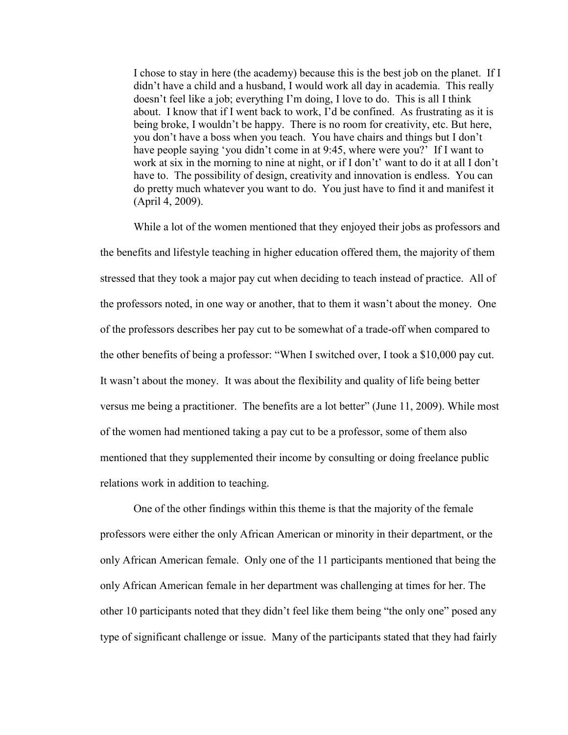I chose to stay in here (the academy) because this is the best job on the planet. If I didn't have a child and a husband, I would work all day in academia. This really doesn't feel like a job; everything I'm doing, I love to do. This is all I think about. I know that if I went back to work, I'd be confined. As frustrating as it is being broke, I wouldn't be happy. There is no room for creativity, etc. But here, you don't have a boss when you teach. You have chairs and things but I don't have people saying 'you didn't come in at 9:45, where were you?' If I want to work at six in the morning to nine at night, or if I don't' want to do it at all I don't have to. The possibility of design, creativity and innovation is endless. You can do pretty much whatever you want to do. You just have to find it and manifest it (April 4, 2009).

While a lot of the women mentioned that they enjoyed their jobs as professors and the benefits and lifestyle teaching in higher education offered them, the majority of them stressed that they took a major pay cut when deciding to teach instead of practice. All of the professors noted, in one way or another, that to them it wasn't about the money. One of the professors describes her pay cut to be somewhat of a trade-off when compared to the other benefits of being a professor: "When I switched over, I took a \$10,000 pay cut. It wasn't about the money. It was about the flexibility and quality of life being better versus me being a practitioner. The benefits are a lot better" (June 11, 2009). While most of the women had mentioned taking a pay cut to be a professor, some of them also mentioned that they supplemented their income by consulting or doing freelance public relations work in addition to teaching.

One of the other findings within this theme is that the majority of the female professors were either the only African American or minority in their department, or the only African American female. Only one of the 11 participants mentioned that being the only African American female in her department was challenging at times for her. The other 10 participants noted that they didn't feel like them being "the only one" posed any type of significant challenge or issue. Many of the participants stated that they had fairly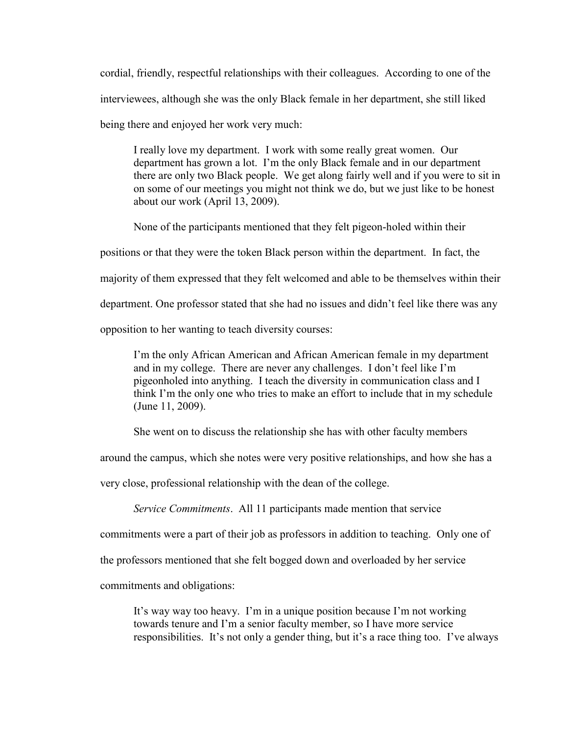cordial, friendly, respectful relationships with their colleagues. According to one of the interviewees, although she was the only Black female in her department, she still liked

being there and enjoyed her work very much:

I really love my department. I work with some really great women. Our department has grown a lot. I'm the only Black female and in our department there are only two Black people. We get along fairly well and if you were to sit in on some of our meetings you might not think we do, but we just like to be honest about our work (April 13, 2009).

None of the participants mentioned that they felt pigeon-holed within their

positions or that they were the token Black person within the department. In fact, the

majority of them expressed that they felt welcomed and able to be themselves within their

department. One professor stated that she had no issues and didn't feel like there was any

opposition to her wanting to teach diversity courses:

I'm the only African American and African American female in my department and in my college. There are never any challenges. I don't feel like I'm pigeonholed into anything. I teach the diversity in communication class and I think I'm the only one who tries to make an effort to include that in my schedule (June 11, 2009).

She went on to discuss the relationship she has with other faculty members

around the campus, which she notes were very positive relationships, and how she has a

very close, professional relationship with the dean of the college.

*Service Commitments*. All 11 participants made mention that service

commitments were a part of their job as professors in addition to teaching. Only one of

the professors mentioned that she felt bogged down and overloaded by her service

commitments and obligations:

It's way way too heavy. I'm in a unique position because I'm not working towards tenure and I'm a senior faculty member, so I have more service responsibilities. It's not only a gender thing, but it's a race thing too. I've always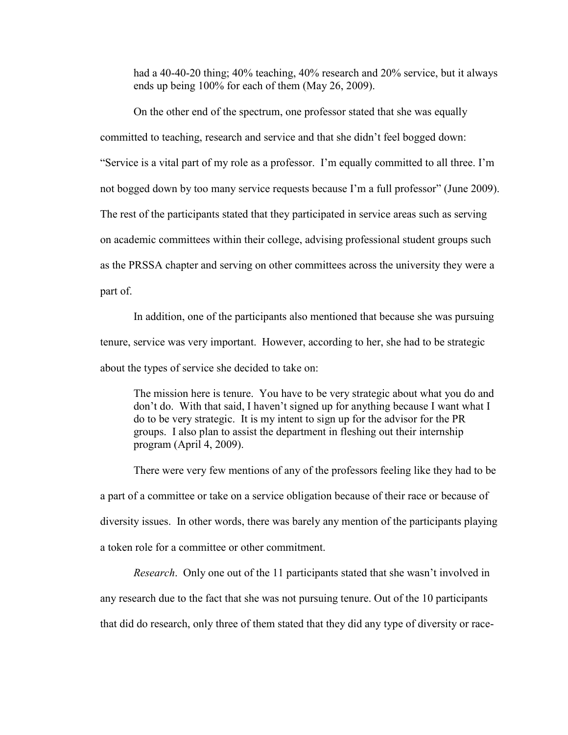had a 40-40-20 thing; 40% teaching, 40% research and 20% service, but it always ends up being 100% for each of them (May 26, 2009).

On the other end of the spectrum, one professor stated that she was equally committed to teaching, research and service and that she didn't feel bogged down: ―Service is a vital part of my role as a professor. I'm equally committed to all three. I'm not bogged down by too many service requests because I'm a full professor" (June 2009). The rest of the participants stated that they participated in service areas such as serving on academic committees within their college, advising professional student groups such as the PRSSA chapter and serving on other committees across the university they were a part of.

In addition, one of the participants also mentioned that because she was pursuing tenure, service was very important. However, according to her, she had to be strategic about the types of service she decided to take on:

The mission here is tenure. You have to be very strategic about what you do and don't do. With that said, I haven't signed up for anything because I want what I do to be very strategic. It is my intent to sign up for the advisor for the PR groups. I also plan to assist the department in fleshing out their internship program (April 4, 2009).

There were very few mentions of any of the professors feeling like they had to be a part of a committee or take on a service obligation because of their race or because of diversity issues. In other words, there was barely any mention of the participants playing a token role for a committee or other commitment.

*Research*. Only one out of the 11 participants stated that she wasn't involved in

any research due to the fact that she was not pursuing tenure. Out of the 10 participants

that did do research, only three of them stated that they did any type of diversity or race-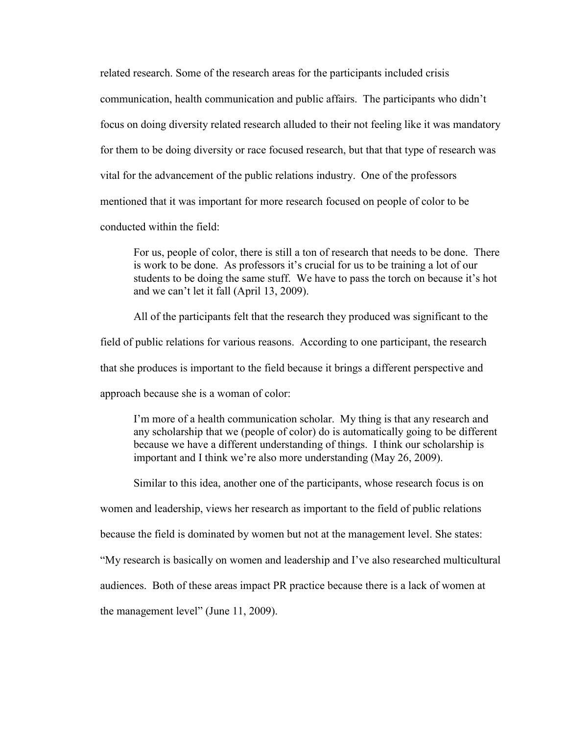related research. Some of the research areas for the participants included crisis communication, health communication and public affairs. The participants who didn't focus on doing diversity related research alluded to their not feeling like it was mandatory for them to be doing diversity or race focused research, but that that type of research was vital for the advancement of the public relations industry. One of the professors mentioned that it was important for more research focused on people of color to be conducted within the field:

For us, people of color, there is still a ton of research that needs to be done. There is work to be done. As professors it's crucial for us to be training a lot of our students to be doing the same stuff. We have to pass the torch on because it's hot and we can't let it fall (April 13, 2009).

 All of the participants felt that the research they produced was significant to the field of public relations for various reasons. According to one participant, the research that she produces is important to the field because it brings a different perspective and approach because she is a woman of color:

I'm more of a health communication scholar. My thing is that any research and any scholarship that we (people of color) do is automatically going to be different because we have a different understanding of things. I think our scholarship is important and I think we're also more understanding (May 26, 2009).

Similar to this idea, another one of the participants, whose research focus is on

women and leadership, views her research as important to the field of public relations

because the field is dominated by women but not at the management level. She states:

―My research is basically on women and leadership and I've also researched multicultural

audiences. Both of these areas impact PR practice because there is a lack of women at

the management level" (June  $11, 2009$ ).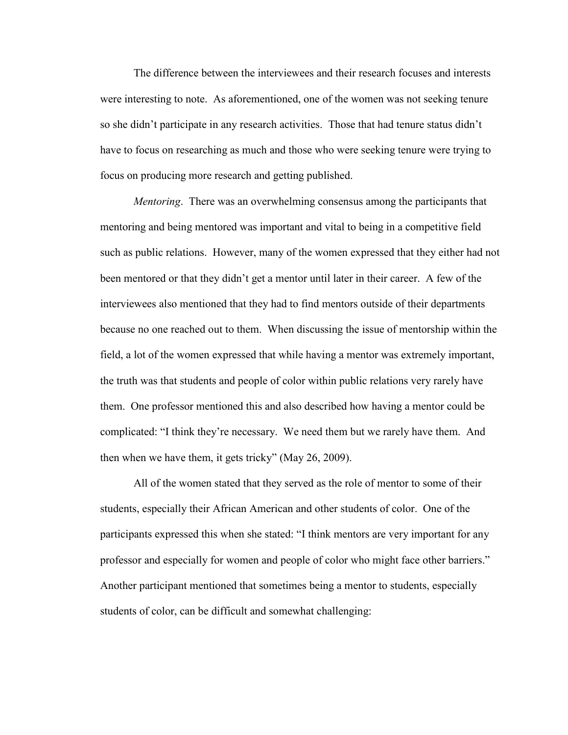The difference between the interviewees and their research focuses and interests were interesting to note. As aforementioned, one of the women was not seeking tenure so she didn't participate in any research activities. Those that had tenure status didn't have to focus on researching as much and those who were seeking tenure were trying to focus on producing more research and getting published.

*Mentoring*. There was an overwhelming consensus among the participants that mentoring and being mentored was important and vital to being in a competitive field such as public relations. However, many of the women expressed that they either had not been mentored or that they didn't get a mentor until later in their career. A few of the interviewees also mentioned that they had to find mentors outside of their departments because no one reached out to them. When discussing the issue of mentorship within the field, a lot of the women expressed that while having a mentor was extremely important, the truth was that students and people of color within public relations very rarely have them. One professor mentioned this and also described how having a mentor could be complicated: "I think they're necessary. We need them but we rarely have them. And then when we have them, it gets tricky" (May 26, 2009).

All of the women stated that they served as the role of mentor to some of their students, especially their African American and other students of color. One of the participants expressed this when she stated: "I think mentors are very important for any professor and especially for women and people of color who might face other barriers." Another participant mentioned that sometimes being a mentor to students, especially students of color, can be difficult and somewhat challenging: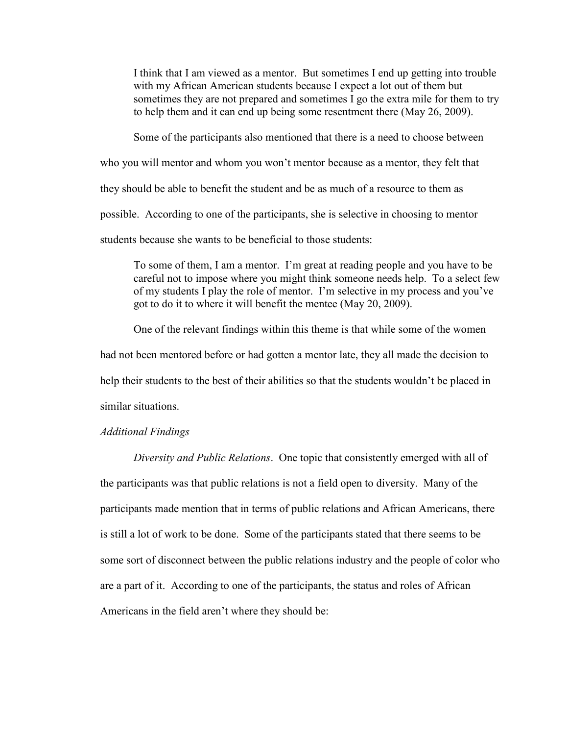I think that I am viewed as a mentor. But sometimes I end up getting into trouble with my African American students because I expect a lot out of them but sometimes they are not prepared and sometimes I go the extra mile for them to try to help them and it can end up being some resentment there (May 26, 2009).

Some of the participants also mentioned that there is a need to choose between

who you will mentor and whom you won't mentor because as a mentor, they felt that

they should be able to benefit the student and be as much of a resource to them as

possible. According to one of the participants, she is selective in choosing to mentor

students because she wants to be beneficial to those students:

To some of them, I am a mentor. I'm great at reading people and you have to be careful not to impose where you might think someone needs help. To a select few of my students I play the role of mentor. I'm selective in my process and you've got to do it to where it will benefit the mentee (May 20, 2009).

One of the relevant findings within this theme is that while some of the women had not been mentored before or had gotten a mentor late, they all made the decision to help their students to the best of their abilities so that the students wouldn't be placed in similar situations.

### *Additional Findings*

*Diversity and Public Relations*. One topic that consistently emerged with all of the participants was that public relations is not a field open to diversity. Many of the participants made mention that in terms of public relations and African Americans, there is still a lot of work to be done. Some of the participants stated that there seems to be some sort of disconnect between the public relations industry and the people of color who are a part of it. According to one of the participants, the status and roles of African Americans in the field aren't where they should be: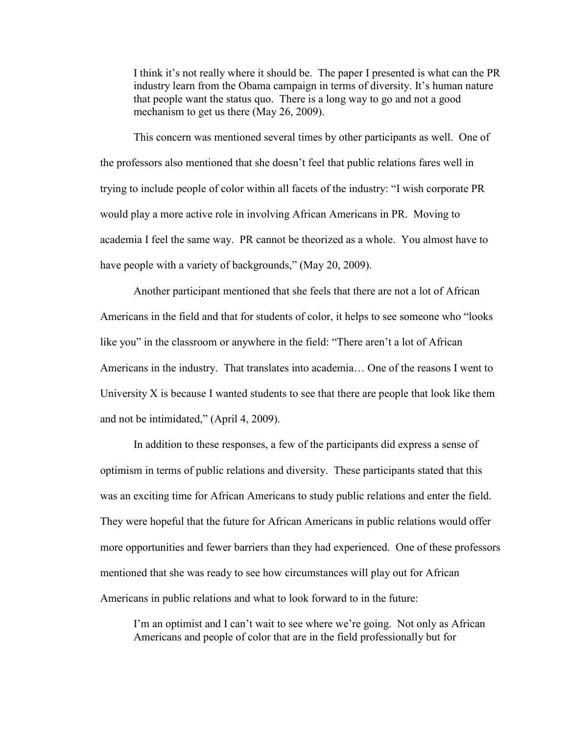I think it's not really where it should be. The paper I presented is what can the PR industry learn from the Obama campaign in terms of diversity. It's human nature that people want the status quo. There is a long way to go and not a good mechanism to get us there (May 26, 2009).

This concern was mentioned several times by other participants as well. One of the professors also mentioned that she doesn't feel that public relations fares well in trying to include people of color within all facets of the industry: "I wish corporate PR would play a more active role in involving African Americans in PR. Moving to academia I feel the same way. PR cannot be theorized as a whole. You almost have to have people with a variety of backgrounds," (May 20, 2009).

Another participant mentioned that she feels that there are not a lot of African Americans in the field and that for students of color, it helps to see someone who "looks" like you" in the classroom or anywhere in the field: "There aren't a lot of African Americans in the industry. That translates into academia… One of the reasons I went to University  $X$  is because I wanted students to see that there are people that look like them and not be intimidated," (April 4, 2009).

In addition to these responses, a few of the participants did express a sense of optimism in terms of public relations and diversity. These participants stated that this was an exciting time for African Americans to study public relations and enter the field. They were hopeful that the future for African Americans in public relations would offer more opportunities and fewer barriers than they had experienced. One of these professors mentioned that she was ready to see how circumstances will play out for African Americans in public relations and what to look forward to in the future:

I'm an optimist and I can't wait to see where we're going. Not only as African Americans and people of color that are in the field professionally but for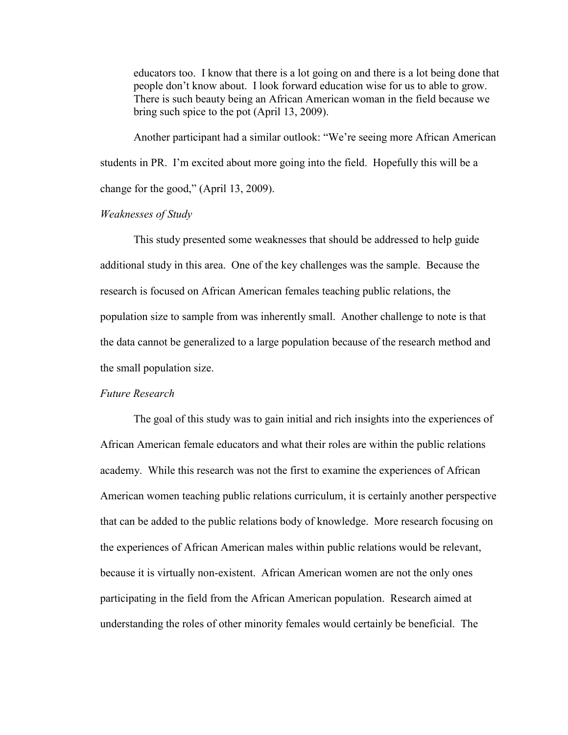educators too. I know that there is a lot going on and there is a lot being done that people don't know about. I look forward education wise for us to able to grow. There is such beauty being an African American woman in the field because we bring such spice to the pot (April 13, 2009).

Another participant had a similar outlook: "We're seeing more African American students in PR. I'm excited about more going into the field. Hopefully this will be a change for the good," (April 13, 2009).

## *Weaknesses of Study*

This study presented some weaknesses that should be addressed to help guide additional study in this area. One of the key challenges was the sample. Because the research is focused on African American females teaching public relations, the population size to sample from was inherently small. Another challenge to note is that the data cannot be generalized to a large population because of the research method and the small population size.

## *Future Research*

The goal of this study was to gain initial and rich insights into the experiences of African American female educators and what their roles are within the public relations academy. While this research was not the first to examine the experiences of African American women teaching public relations curriculum, it is certainly another perspective that can be added to the public relations body of knowledge. More research focusing on the experiences of African American males within public relations would be relevant, because it is virtually non-existent. African American women are not the only ones participating in the field from the African American population. Research aimed at understanding the roles of other minority females would certainly be beneficial. The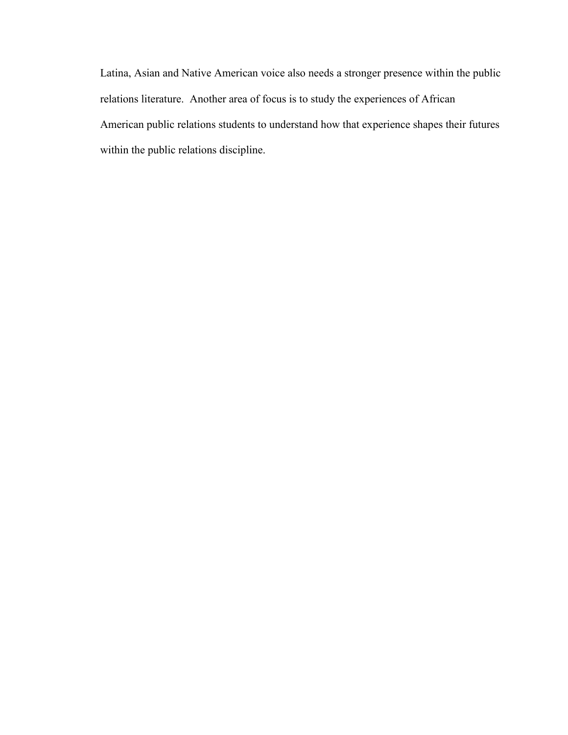Latina, Asian and Native American voice also needs a stronger presence within the public relations literature. Another area of focus is to study the experiences of African American public relations students to understand how that experience shapes their futures within the public relations discipline.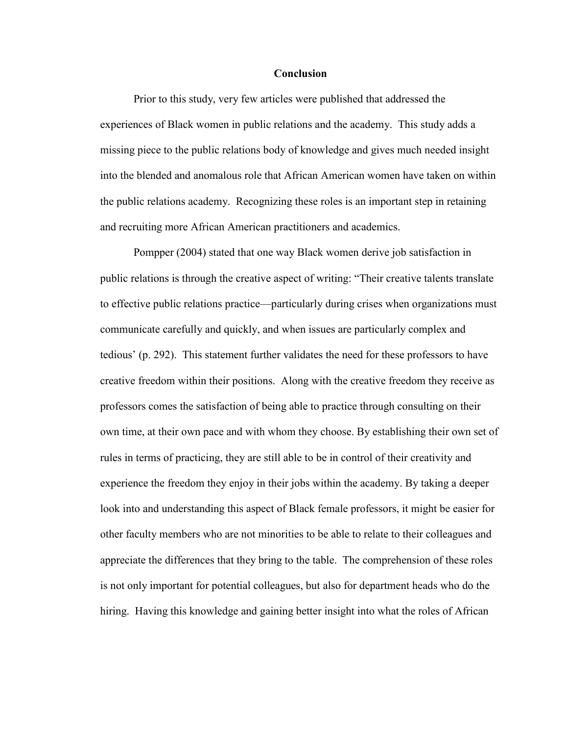### **Conclusion**

Prior to this study, very few articles were published that addressed the experiences of Black women in public relations and the academy. This study adds a missing piece to the public relations body of knowledge and gives much needed insight into the blended and anomalous role that African American women have taken on within the public relations academy. Recognizing these roles is an important step in retaining and recruiting more African American practitioners and academics.

Pompper (2004) stated that one way Black women derive job satisfaction in public relations is through the creative aspect of writing: "Their creative talents translate to effective public relations practice––particularly during crises when organizations must communicate carefully and quickly, and when issues are particularly complex and tedious' (p. 292). This statement further validates the need for these professors to have creative freedom within their positions. Along with the creative freedom they receive as professors comes the satisfaction of being able to practice through consulting on their own time, at their own pace and with whom they choose. By establishing their own set of rules in terms of practicing, they are still able to be in control of their creativity and experience the freedom they enjoy in their jobs within the academy. By taking a deeper look into and understanding this aspect of Black female professors, it might be easier for other faculty members who are not minorities to be able to relate to their colleagues and appreciate the differences that they bring to the table. The comprehension of these roles is not only important for potential colleagues, but also for department heads who do the hiring. Having this knowledge and gaining better insight into what the roles of African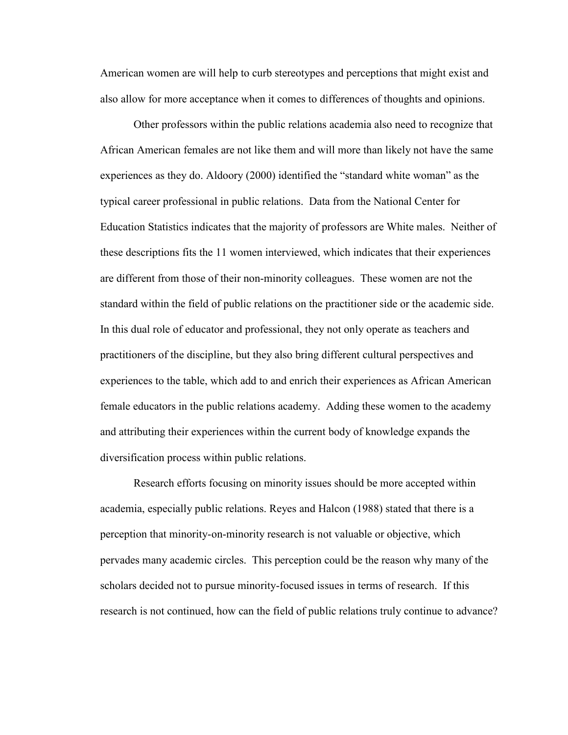American women are will help to curb stereotypes and perceptions that might exist and also allow for more acceptance when it comes to differences of thoughts and opinions.

Other professors within the public relations academia also need to recognize that African American females are not like them and will more than likely not have the same experiences as they do. Aldoory  $(2000)$  identified the "standard white woman" as the typical career professional in public relations. Data from the National Center for Education Statistics indicates that the majority of professors are White males. Neither of these descriptions fits the 11 women interviewed, which indicates that their experiences are different from those of their non-minority colleagues. These women are not the standard within the field of public relations on the practitioner side or the academic side. In this dual role of educator and professional, they not only operate as teachers and practitioners of the discipline, but they also bring different cultural perspectives and experiences to the table, which add to and enrich their experiences as African American female educators in the public relations academy. Adding these women to the academy and attributing their experiences within the current body of knowledge expands the diversification process within public relations.

Research efforts focusing on minority issues should be more accepted within academia, especially public relations. Reyes and Halcon (1988) stated that there is a perception that minority-on-minority research is not valuable or objective, which pervades many academic circles. This perception could be the reason why many of the scholars decided not to pursue minority-focused issues in terms of research. If this research is not continued, how can the field of public relations truly continue to advance?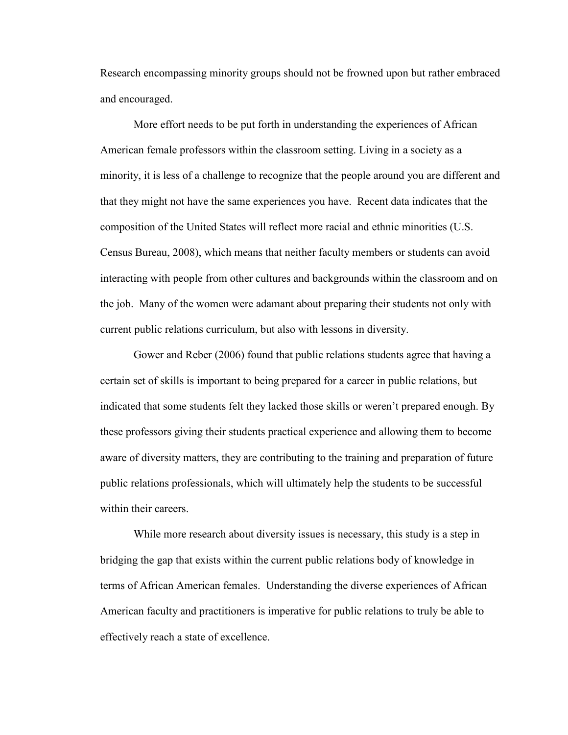Research encompassing minority groups should not be frowned upon but rather embraced and encouraged.

More effort needs to be put forth in understanding the experiences of African American female professors within the classroom setting. Living in a society as a minority, it is less of a challenge to recognize that the people around you are different and that they might not have the same experiences you have. Recent data indicates that the composition of the United States will reflect more racial and ethnic minorities (U.S. Census Bureau, 2008), which means that neither faculty members or students can avoid interacting with people from other cultures and backgrounds within the classroom and on the job. Many of the women were adamant about preparing their students not only with current public relations curriculum, but also with lessons in diversity.

Gower and Reber (2006) found that public relations students agree that having a certain set of skills is important to being prepared for a career in public relations, but indicated that some students felt they lacked those skills or weren't prepared enough. By these professors giving their students practical experience and allowing them to become aware of diversity matters, they are contributing to the training and preparation of future public relations professionals, which will ultimately help the students to be successful within their careers.

While more research about diversity issues is necessary, this study is a step in bridging the gap that exists within the current public relations body of knowledge in terms of African American females. Understanding the diverse experiences of African American faculty and practitioners is imperative for public relations to truly be able to effectively reach a state of excellence.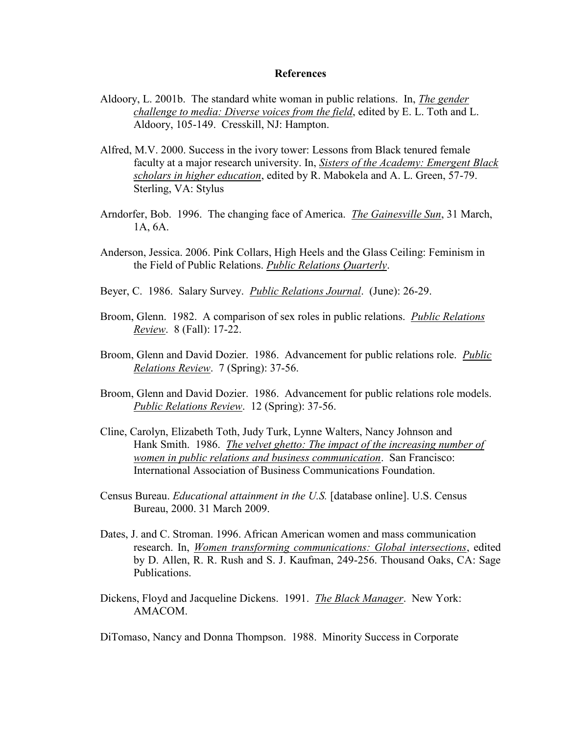## **References**

- Aldoory, L. 2001b. The standard white woman in public relations. In, *The gender challenge to media: Diverse voices from the field*, edited by E. L. Toth and L. Aldoory, 105-149. Cresskill, NJ: Hampton.
- Alfred, M.V. 2000. Success in the ivory tower: Lessons from Black tenured female faculty at a major research university. In, *Sisters of the Academy: Emergent Black scholars in higher education*, edited by R. Mabokela and A. L. Green, 57-79. Sterling, VA: Stylus
- Arndorfer, Bob. 1996. The changing face of America. *The Gainesville Sun*, 31 March, 1A, 6A.
- Anderson, Jessica. 2006. Pink Collars, High Heels and the Glass Ceiling: Feminism in the Field of Public Relations. *Public Relations Quarterly*.
- Beyer, C. 1986. Salary Survey. *Public Relations Journal*. (June): 26-29.
- Broom, Glenn. 1982. A comparison of sex roles in public relations. *Public Relations Review*. 8 (Fall): 17-22.
- Broom, Glenn and David Dozier. 1986. Advancement for public relations role. *Public Relations Review*. 7 (Spring): 37-56.
- Broom, Glenn and David Dozier. 1986. Advancement for public relations role models. *Public Relations Review*. 12 (Spring): 37-56.
- Cline, Carolyn, Elizabeth Toth, Judy Turk, Lynne Walters, Nancy Johnson and Hank Smith. 1986. *The velvet ghetto: The impact of the increasing number of women in public relations and business communication*. San Francisco: International Association of Business Communications Foundation.
- Census Bureau. *Educational attainment in the U.S.* [database online]. U.S. Census Bureau, 2000. 31 March 2009.
- Dates, J. and C. Stroman. 1996. African American women and mass communication research. In, *Women transforming communications: Global intersections*, edited by D. Allen, R. R. Rush and S. J. Kaufman, 249-256. Thousand Oaks, CA: Sage Publications.
- Dickens, Floyd and Jacqueline Dickens. 1991. *The Black Manager*. New York: AMACOM.

DiTomaso, Nancy and Donna Thompson. 1988. Minority Success in Corporate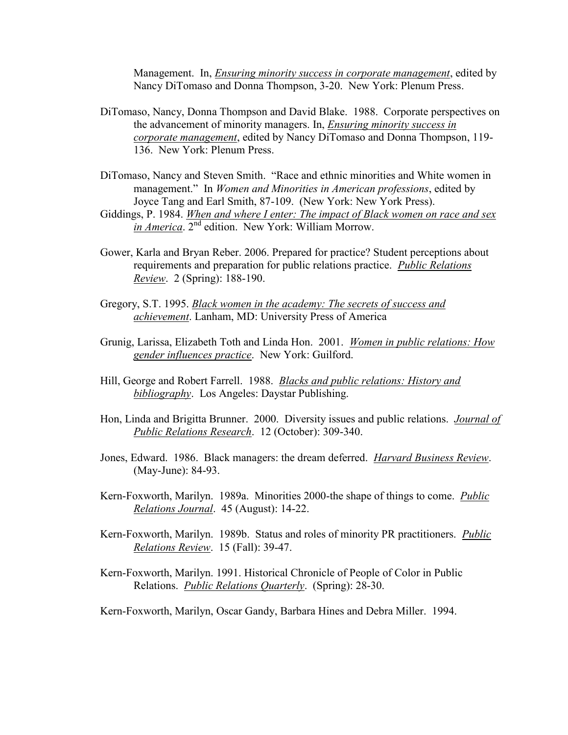Management. In, *Ensuring minority success in corporate management*, edited by Nancy DiTomaso and Donna Thompson, 3-20. New York: Plenum Press.

- DiTomaso, Nancy, Donna Thompson and David Blake. 1988. Corporate perspectives on the advancement of minority managers. In, *Ensuring minority success in corporate management*, edited by Nancy DiTomaso and Donna Thompson, 119- 136. New York: Plenum Press.
- DiTomaso, Nancy and Steven Smith. "Race and ethnic minorities and White women in management." In *Women and Minorities in American professions*, edited by Joyce Tang and Earl Smith, 87-109. (New York: New York Press).
- Giddings, P. 1984. *When and where I enter: The impact of Black women on race and sex in America*. 2nd edition. New York: William Morrow.
- Gower, Karla and Bryan Reber. 2006. Prepared for practice? Student perceptions about requirements and preparation for public relations practice. *Public Relations Review*. 2 (Spring): 188-190.
- Gregory, S.T. 1995. *Black women in the academy: The secrets of success and achievement*. Lanham, MD: University Press of America
- Grunig, Larissa, Elizabeth Toth and Linda Hon. 2001. *Women in public relations: How gender influences practice*. New York: Guilford.
- Hill, George and Robert Farrell. 1988. *Blacks and public relations: History and bibliography*. Los Angeles: Daystar Publishing.
- Hon, Linda and Brigitta Brunner. 2000. Diversity issues and public relations. *Journal of Public Relations Research*. 12 (October): 309-340.
- Jones, Edward. 1986. Black managers: the dream deferred. *Harvard Business Review*. (May-June): 84-93.
- Kern-Foxworth, Marilyn. 1989a. Minorities 2000-the shape of things to come. *Public Relations Journal*. 45 (August): 14-22.
- Kern-Foxworth, Marilyn. 1989b. Status and roles of minority PR practitioners. *Public Relations Review*. 15 (Fall): 39-47.
- Kern-Foxworth, Marilyn. 1991. Historical Chronicle of People of Color in Public Relations. *Public Relations Quarterly*. (Spring): 28-30.

Kern-Foxworth, Marilyn, Oscar Gandy, Barbara Hines and Debra Miller. 1994.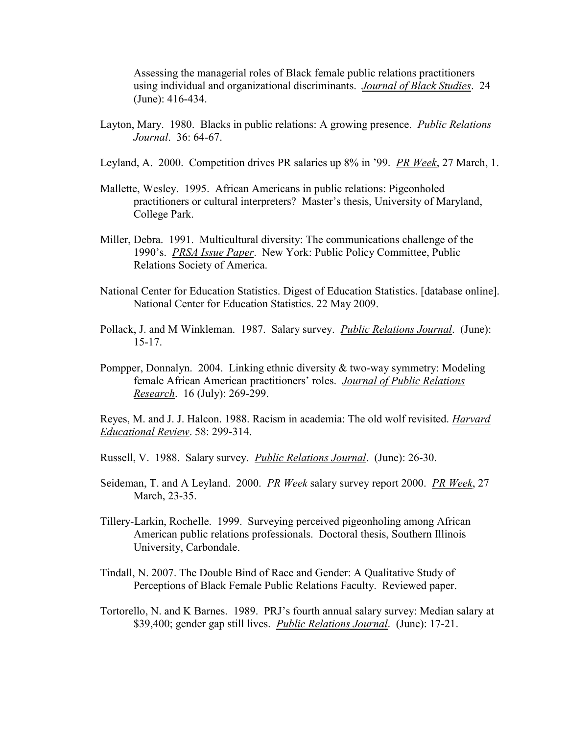Assessing the managerial roles of Black female public relations practitioners using individual and organizational discriminants. *Journal of Black Studies*. 24 (June): 416-434.

- Layton, Mary. 1980. Blacks in public relations: A growing presence. *Public Relations Journal*. 36: 64-67.
- Leyland, A. 2000. Competition drives PR salaries up 8% in '99. *PR Week*, 27 March, 1.
- Mallette, Wesley. 1995. African Americans in public relations: Pigeonholed practitioners or cultural interpreters? Master's thesis, University of Maryland, College Park.
- Miller, Debra. 1991. Multicultural diversity: The communications challenge of the 1990's. *PRSA Issue Paper*. New York: Public Policy Committee, Public Relations Society of America.
- National Center for Education Statistics. Digest of Education Statistics. [database online]. National Center for Education Statistics. 22 May 2009.
- Pollack, J. and M Winkleman. 1987. Salary survey. *Public Relations Journal*. (June): 15-17.
- Pompper, Donnalyn. 2004. Linking ethnic diversity & two-way symmetry: Modeling female African American practitioners' roles. *Journal of Public Relations Research*. 16 (July): 269-299.

Reyes, M. and J. J. Halcon. 1988. Racism in academia: The old wolf revisited. *Harvard Educational Review*. 58: 299-314.

- Russell, V. 1988. Salary survey. *Public Relations Journal*. (June): 26-30.
- Seideman, T. and A Leyland. 2000. *PR Week* salary survey report 2000. *PR Week*, 27 March, 23-35.
- Tillery-Larkin, Rochelle. 1999. Surveying perceived pigeonholing among African American public relations professionals. Doctoral thesis, Southern Illinois University, Carbondale.
- Tindall, N. 2007. The Double Bind of Race and Gender: A Qualitative Study of Perceptions of Black Female Public Relations Faculty. Reviewed paper.
- Tortorello, N. and K Barnes. 1989. PRJ's fourth annual salary survey: Median salary at \$39,400; gender gap still lives. *Public Relations Journal*. (June): 17-21.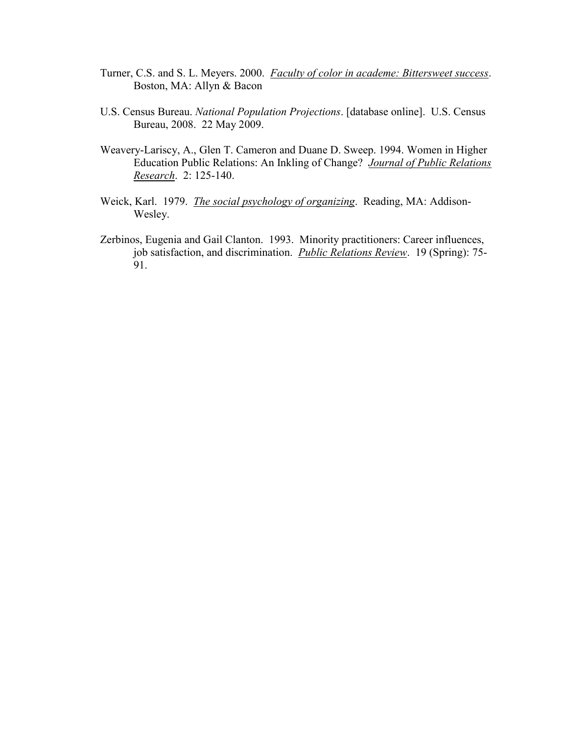- Turner, C.S. and S. L. Meyers. 2000. *Faculty of color in academe: Bittersweet success*. Boston, MA: Allyn & Bacon
- U.S. Census Bureau. *National Population Projections*. [database online]. U.S. Census Bureau, 2008. 22 May 2009.
- Weavery-Lariscy, A., Glen T. Cameron and Duane D. Sweep. 1994. Women in Higher Education Public Relations: An Inkling of Change? *Journal of Public Relations Research*. 2: 125-140.
- Weick, Karl. 1979. *The social psychology of organizing*. Reading, MA: Addison-Wesley.
- Zerbinos, Eugenia and Gail Clanton. 1993. Minority practitioners: Career influences, job satisfaction, and discrimination. *Public Relations Review*. 19 (Spring): 75- 91.